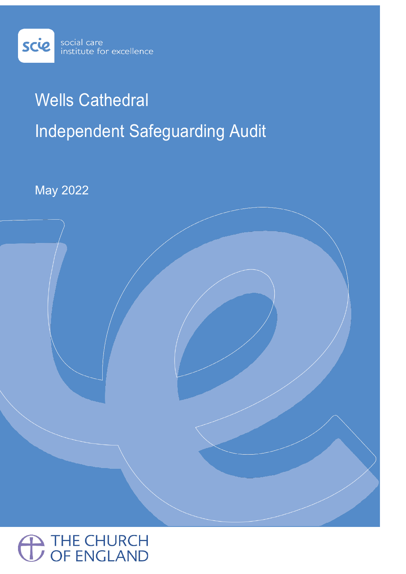

# Wells Cathedral Independent Safeguarding Audit

May 2022

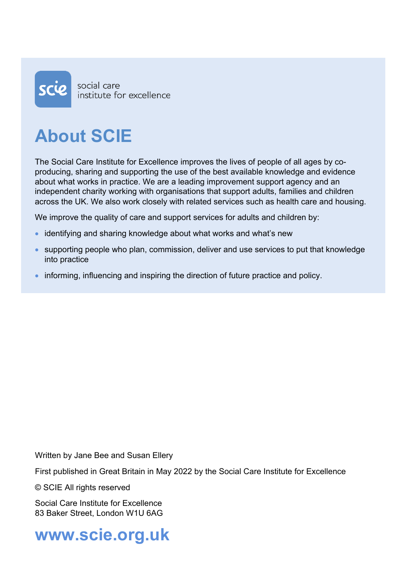

# **About SCIE**

The Social Care Institute for Excellence improves the lives of people of all ages by coproducing, sharing and supporting the use of the best available knowledge and evidence about what works in practice. We are a leading improvement support agency and an independent charity working with organisations that support adults, families and children across the UK. We also work closely with related services such as health care and housing.

We improve the quality of care and support services for adults and children by:

- identifying and sharing knowledge about what works and what's new
- supporting people who plan, commission, deliver and use services to put that knowledge into practice
- informing, influencing and inspiring the direction of future practice and policy.

Written by Jane Bee and Susan Ellery

First published in Great Britain in May 2022 by the Social Care Institute for Excellence

© SCIE All rights reserved

Social Care Institute for Excellence 83 Baker Street, London W1U 6AG

**www.scie.org.uk**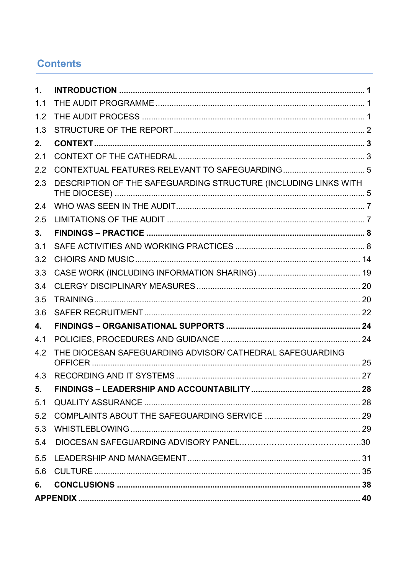# **Contents**

| $\mathbf 1$ . |                                                                 |  |  |
|---------------|-----------------------------------------------------------------|--|--|
| 1.1           |                                                                 |  |  |
| 1.2           |                                                                 |  |  |
| 1.3           |                                                                 |  |  |
| 2.            |                                                                 |  |  |
| 2.1           |                                                                 |  |  |
| 2.2           |                                                                 |  |  |
| 2.3           | DESCRIPTION OF THE SAFEGUARDING STRUCTURE (INCLUDING LINKS WITH |  |  |
| 2.4           |                                                                 |  |  |
| 2.5           |                                                                 |  |  |
| 3.            |                                                                 |  |  |
| 3.1           |                                                                 |  |  |
| 3.2           |                                                                 |  |  |
| 3.3           |                                                                 |  |  |
| 3.4           |                                                                 |  |  |
| 3.5           |                                                                 |  |  |
| 3.6           |                                                                 |  |  |
| 4.            |                                                                 |  |  |
| 4.1           |                                                                 |  |  |
| 4.2           | THE DIOCESAN SAFEGUARDING ADVISOR/ CATHEDRAL SAFEGUARDING       |  |  |
| 4.3           |                                                                 |  |  |
| 5.            |                                                                 |  |  |
| 5.1           |                                                                 |  |  |
| 5.2           |                                                                 |  |  |
| 5.3           |                                                                 |  |  |
| 5.4           |                                                                 |  |  |
| 5.5           |                                                                 |  |  |
| 5.6           |                                                                 |  |  |
| 6.            |                                                                 |  |  |
|               |                                                                 |  |  |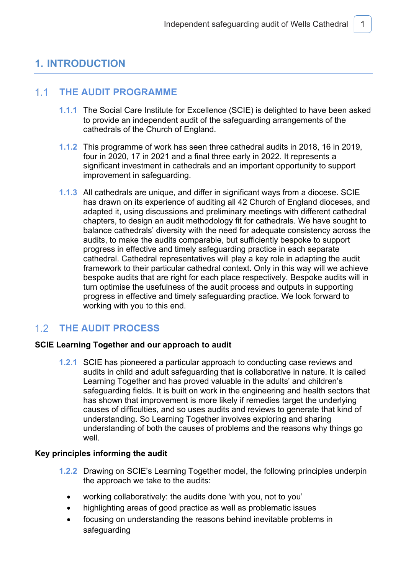# **1. INTRODUCTION**

#### $1.1<sub>1</sub>$ **THE AUDIT PROGRAMME**

- **1.1.1** The Social Care Institute for Excellence (SCIE) is delighted to have been asked to provide an independent audit of the safeguarding arrangements of the cathedrals of the Church of England.
- **1.1.2** This programme of work has seen three cathedral audits in 2018, 16 in 2019, four in 2020, 17 in 2021 and a final three early in 2022. It represents a significant investment in cathedrals and an important opportunity to support improvement in safeguarding.
- **1.1.3** All cathedrals are unique, and differ in significant ways from a diocese. SCIE has drawn on its experience of auditing all 42 Church of England dioceses, and adapted it, using discussions and preliminary meetings with different cathedral chapters, to design an audit methodology fit for cathedrals. We have sought to balance cathedrals' diversity with the need for adequate consistency across the audits, to make the audits comparable, but sufficiently bespoke to support progress in effective and timely safeguarding practice in each separate cathedral. Cathedral representatives will play a key role in adapting the audit framework to their particular cathedral context. Only in this way will we achieve bespoke audits that are right for each place respectively. Bespoke audits will in turn optimise the usefulness of the audit process and outputs in supporting progress in effective and timely safeguarding practice. We look forward to working with you to this end.

# **THE AUDIT PROCESS**

### **SCIE Learning Together and our approach to audit**

**1.2.1** SCIE has pioneered a particular approach to conducting case reviews and audits in child and adult safeguarding that is collaborative in nature. It is called Learning Together and has proved valuable in the adults' and children's safeguarding fields. It is built on work in the engineering and health sectors that has shown that improvement is more likely if remedies target the underlying causes of difficulties, and so uses audits and reviews to generate that kind of understanding. So Learning Together involves exploring and sharing understanding of both the causes of problems and the reasons why things go well.

### **Key principles informing the audit**

- **1.2.2** Drawing on SCIE's Learning Together model, the following principles underpin the approach we take to the audits:
	- working collaboratively: the audits done 'with you, not to you'
	- highlighting areas of good practice as well as problematic issues
	- focusing on understanding the reasons behind inevitable problems in safeguarding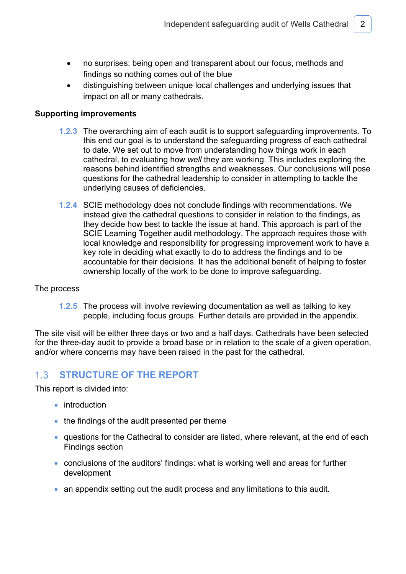- no surprises: being open and transparent about our focus, methods and findings so nothing comes out of the blue
- distinguishing between unique local challenges and underlying issues that impact on all or many cathedrals.

### **Supporting improvements**

- **1.2.3** The overarching aim of each audit is to support safeguarding improvements. To this end our goal is to understand the safeguarding progress of each cathedral to date. We set out to move from understanding how things work in each cathedral, to evaluating how *well* they are working. This includes exploring the reasons behind identified strengths and weaknesses. Our conclusions will pose questions for the cathedral leadership to consider in attempting to tackle the underlying causes of deficiencies.
- **1.2.4** SCIE methodology does not conclude findings with recommendations. We instead give the cathedral questions to consider in relation to the findings, as they decide how best to tackle the issue at hand. This approach is part of the SCIE Learning Together audit methodology. The approach requires those with local knowledge and responsibility for progressing improvement work to have a key role in deciding what exactly to do to address the findings and to be accountable for their decisions. It has the additional benefit of helping to foster ownership locally of the work to be done to improve safeguarding.

### The process

**1.2.5** The process will involve reviewing documentation as well as talking to key people, including focus groups. Further details are provided in the appendix.

The site visit will be either three days or two and a half days. Cathedrals have been selected for the three-day audit to provide a broad base or in relation to the scale of a given operation, and/or where concerns may have been raised in the past for the cathedral.

#### $1.3$ **STRUCTURE OF THE REPORT**

This report is divided into:

- introduction
- the findings of the audit presented per theme
- questions for the Cathedral to consider are listed, where relevant, at the end of each Findings section
- conclusions of the auditors' findings: what is working well and areas for further development
- an appendix setting out the audit process and any limitations to this audit.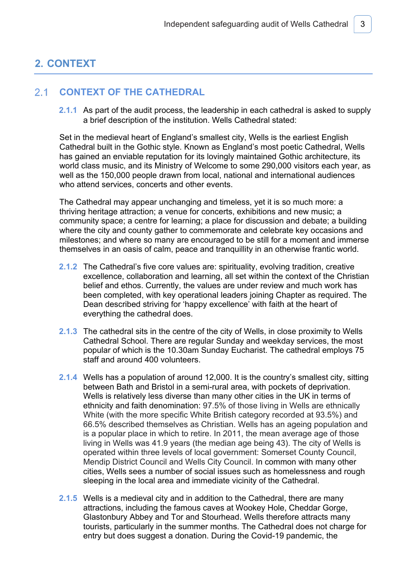# **2. CONTEXT**

#### $2.1$ **CONTEXT OF THE CATHEDRAL**

**2.1.1** As part of the audit process, the leadership in each cathedral is asked to supply a brief description of the institution. Wells Cathedral stated:

Set in the medieval heart of England's smallest city, Wells is the earliest English Cathedral built in the Gothic style. Known as England's most poetic Cathedral, Wells has gained an enviable reputation for its lovingly maintained Gothic architecture, its world class music, and its Ministry of Welcome to some 290,000 visitors each year, as well as the 150,000 people drawn from local, national and international audiences who attend services, concerts and other events.

The Cathedral may appear unchanging and timeless, yet it is so much more: a thriving heritage attraction; a venue for concerts, exhibitions and new music; a community space; a centre for learning; a place for discussion and debate; a building where the city and county gather to commemorate and celebrate key occasions and milestones; and where so many are encouraged to be still for a moment and immerse themselves in an oasis of calm, peace and tranquillity in an otherwise frantic world.

- **2.1.2** The Cathedral's five core values are: spirituality, evolving tradition, creative excellence, collaboration and learning, all set within the context of the Christian belief and ethos. Currently, the values are under review and much work has been completed, with key operational leaders joining Chapter as required. The Dean described striving for 'happy excellence' with faith at the heart of everything the cathedral does.
- **2.1.3** The cathedral sits in the centre of the city of Wells, in close proximity to Wells Cathedral School. There are regular Sunday and weekday services, the most popular of which is the 10.30am Sunday Eucharist. The cathedral employs 75 staff and around 400 volunteers.
- **2.1.4** Wells has a population of around 12,000. It is the country's smallest city, sitting between Bath and Bristol in a semi-rural area, with pockets of deprivation. Wells is relatively less diverse than many other cities in the UK in terms of ethnicity and faith denomination: 97.5% of those living in Wells are ethnically White (with the more specific White British category recorded at 93.5%) and 66.5% described themselves as Christian. Wells has an ageing population and is a popular place in which to retire. In 2011, the mean average age of those living in Wells was 41.9 years (the median age being 43). The city of Wells is operated within three levels of local government: Somerset County Council, Mendip District Council and Wells City Council. In common with many other cities, Wells sees a number of social issues such as homelessness and rough sleeping in the local area and immediate vicinity of the Cathedral.
- **2.1.5** Wells is a medieval city and in addition to the Cathedral, there are many attractions, including the famous caves at Wookey Hole, Cheddar Gorge, Glastonbury Abbey and Tor and Stourhead. Wells therefore attracts many tourists, particularly in the summer months. The Cathedral does not charge for entry but does suggest a donation. During the Covid-19 pandemic, the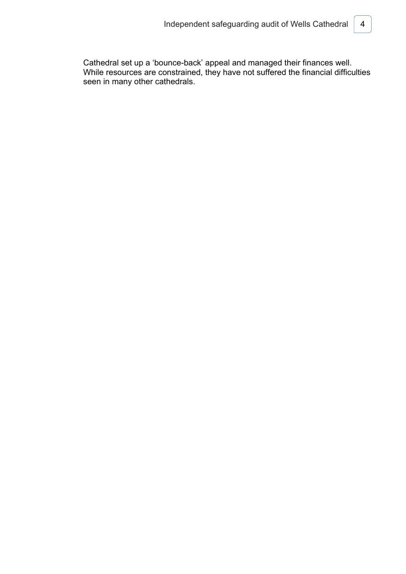Cathedral set up a 'bounce-back' appeal and managed their finances well. While resources are constrained, they have not suffered the financial difficulties seen in many other cathedrals.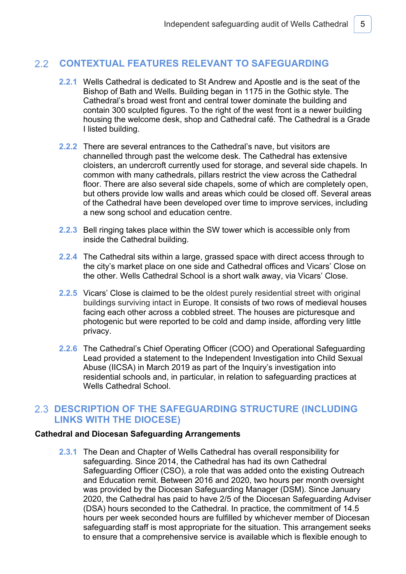#### $2.2$ **CONTEXTUAL FEATURES RELEVANT TO SAFEGUARDING**

- **2.2.1** Wells Cathedral is dedicated to St Andrew and Apostle and is the seat of the Bishop of Bath and Wells. Building began in 1175 in the Gothic style. The Cathedral's broad west front and central tower dominate the building and contain 300 sculpted figures. To the right of the west front is a newer building housing the welcome desk, shop and Cathedral café. The Cathedral is a Grade I listed building.
- **2.2.2** There are several entrances to the Cathedral's nave, but visitors are channelled through past the welcome desk. The Cathedral has extensive cloisters, an undercroft currently used for storage, and several side chapels. In common with many cathedrals, pillars restrict the view across the Cathedral floor. There are also several side chapels, some of which are completely open, but others provide low walls and areas which could be closed off. Several areas of the Cathedral have been developed over time to improve services, including a new song school and education centre.
- **2.2.3** Bell ringing takes place within the SW tower which is accessible only from inside the Cathedral building.
- **2.2.4** The Cathedral sits within a large, grassed space with direct access through to the city's market place on one side and Cathedral offices and Vicars' Close on the other. Wells Cathedral School is a short walk away, via Vicars' Close.
- **2.2.5** Vicars' Close is claimed to be the oldest purely residential street with original buildings surviving intact in Europe. It consists of two rows of medieval houses facing each other across a cobbled street. The houses are picturesque and photogenic but were reported to be cold and damp inside, affording very little privacy.
- **2.2.6** The Cathedral's Chief Operating Officer (COO) and Operational Safeguarding Lead provided a statement to the Independent Investigation into Child Sexual Abuse (IICSA) in March 2019 as part of the Inquiry's investigation into residential schools and, in particular, in relation to safeguarding practices at Wells Cathedral School.

# **DESCRIPTION OF THE SAFEGUARDING STRUCTURE (INCLUDING LINKS WITH THE DIOCESE)**

### **Cathedral and Diocesan Safeguarding Arrangements**

**2.3.1** The Dean and Chapter of Wells Cathedral has overall responsibility for safeguarding. Since 2014, the Cathedral has had its own Cathedral Safeguarding Officer (CSO), a role that was added onto the existing Outreach and Education remit. Between 2016 and 2020, two hours per month oversight was provided by the Diocesan Safeguarding Manager (DSM). Since January 2020, the Cathedral has paid to have 2/5 of the Diocesan Safeguarding Adviser (DSA) hours seconded to the Cathedral. In practice, the commitment of 14.5 hours per week seconded hours are fulfilled by whichever member of Diocesan safeguarding staff is most appropriate for the situation. This arrangement seeks to ensure that a comprehensive service is available which is flexible enough to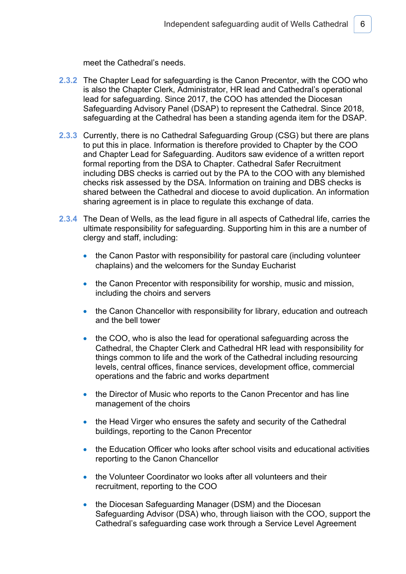meet the Cathedral's needs.

- **2.3.2** The Chapter Lead for safeguarding is the Canon Precentor, with the COO who is also the Chapter Clerk, Administrator, HR lead and Cathedral's operational lead for safeguarding. Since 2017, the COO has attended the Diocesan Safeguarding Advisory Panel (DSAP) to represent the Cathedral. Since 2018, safeguarding at the Cathedral has been a standing agenda item for the DSAP.
- **2.3.3** Currently, there is no Cathedral Safeguarding Group (CSG) but there are plans to put this in place. Information is therefore provided to Chapter by the COO and Chapter Lead for Safeguarding. Auditors saw evidence of a written report formal reporting from the DSA to Chapter. Cathedral Safer Recruitment including DBS checks is carried out by the PA to the COO with any blemished checks risk assessed by the DSA. Information on training and DBS checks is shared between the Cathedral and diocese to avoid duplication. An information sharing agreement is in place to regulate this exchange of data.
- **2.3.4** The Dean of Wells, as the lead figure in all aspects of Cathedral life, carries the ultimate responsibility for safeguarding. Supporting him in this are a number of clergy and staff, including:
	- the Canon Pastor with responsibility for pastoral care (including volunteer chaplains) and the welcomers for the Sunday Eucharist
	- the Canon Precentor with responsibility for worship, music and mission, including the choirs and servers
	- the Canon Chancellor with responsibility for library, education and outreach and the bell tower
	- the COO, who is also the lead for operational safeguarding across the Cathedral, the Chapter Clerk and Cathedral HR lead with responsibility for things common to life and the work of the Cathedral including resourcing levels, central offices, finance services, development office, commercial operations and the fabric and works department
	- the Director of Music who reports to the Canon Precentor and has line management of the choirs
	- the Head Virger who ensures the safety and security of the Cathedral buildings, reporting to the Canon Precentor
	- the Education Officer who looks after school visits and educational activities reporting to the Canon Chancellor
	- the Volunteer Coordinator wo looks after all volunteers and their recruitment, reporting to the COO
	- the Diocesan Safeguarding Manager (DSM) and the Diocesan Safeguarding Advisor (DSA) who, through liaison with the COO, support the Cathedral's safeguarding case work through a Service Level Agreement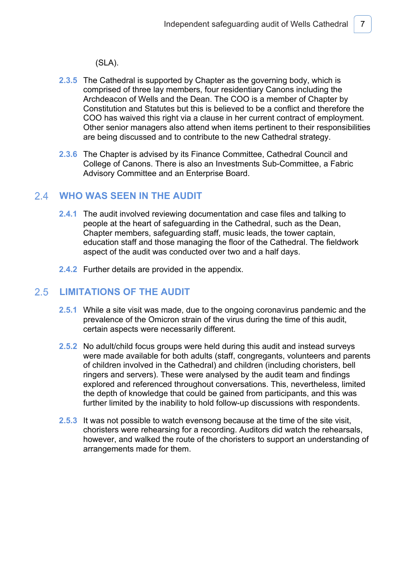(SLA).

- **2.3.5** The Cathedral is supported by Chapter as the governing body, which is comprised of three lay members, four residentiary Canons including the Archdeacon of Wells and the Dean. The COO is a member of Chapter by Constitution and Statutes but this is believed to be a conflict and therefore the COO has waived this right via a clause in her current contract of employment. Other senior managers also attend when items pertinent to their responsibilities are being discussed and to contribute to the new Cathedral strategy.
- **2.3.6** The Chapter is advised by its Finance Committee, Cathedral Council and College of Canons. There is also an Investments Sub-Committee, a Fabric Advisory Committee and an Enterprise Board.

# **WHO WAS SEEN IN THE AUDIT**

- **2.4.1** The audit involved reviewing documentation and case files and talking to people at the heart of safeguarding in the Cathedral, such as the Dean, Chapter members, safeguarding staff, music leads, the tower captain, education staff and those managing the floor of the Cathedral. The fieldwork aspect of the audit was conducted over two and a half days.
- **2.4.2** Further details are provided in the appendix.

#### $2.5$ **LIMITATIONS OF THE AUDIT**

- **2.5.1** While a site visit was made, due to the ongoing coronavirus pandemic and the prevalence of the Omicron strain of the virus during the time of this audit, certain aspects were necessarily different.
- **2.5.2** No adult/child focus groups were held during this audit and instead surveys were made available for both adults (staff, congregants, volunteers and parents of children involved in the Cathedral) and children (including choristers, bell ringers and servers). These were analysed by the audit team and findings explored and referenced throughout conversations. This, nevertheless, limited the depth of knowledge that could be gained from participants, and this was further limited by the inability to hold follow-up discussions with respondents.
- **2.5.3** It was not possible to watch evensong because at the time of the site visit, choristers were rehearsing for a recording. Auditors did watch the rehearsals, however, and walked the route of the choristers to support an understanding of arrangements made for them.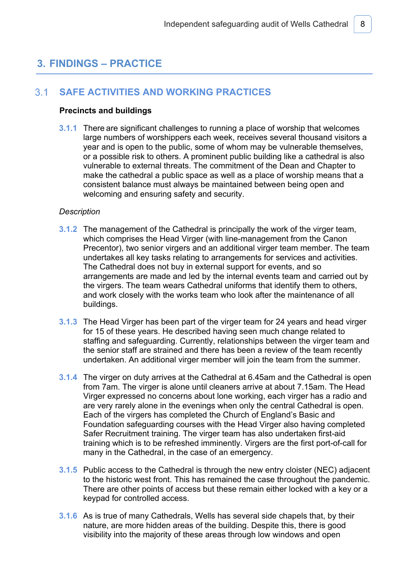# **3. FINDINGS – PRACTICE**

#### $3.1$ **SAFE ACTIVITIES AND WORKING PRACTICES**

### **Precincts and buildings**

**3.1.1** There are significant challenges to running a place of worship that welcomes large numbers of worshippers each week, receives several thousand visitors a year and is open to the public, some of whom may be vulnerable themselves, or a possible risk to others. A prominent public building like a cathedral is also vulnerable to external threats. The commitment of the Dean and Chapter to make the cathedral a public space as well as a place of worship means that a consistent balance must always be maintained between being open and welcoming and ensuring safety and security.

### *Description*

- **3.1.2** The management of the Cathedral is principally the work of the virger team, which comprises the Head Virger (with line-management from the Canon Precentor), two senior virgers and an additional virger team member. The team undertakes all key tasks relating to arrangements for services and activities. The Cathedral does not buy in external support for events, and so arrangements are made and led by the internal events team and carried out by the virgers. The team wears Cathedral uniforms that identify them to others, and work closely with the works team who look after the maintenance of all buildings.
- **3.1.3** The Head Virger has been part of the virger team for 24 years and head virger for 15 of these years. He described having seen much change related to staffing and safeguarding. Currently, relationships between the virger team and the senior staff are strained and there has been a review of the team recently undertaken. An additional virger member will join the team from the summer.
- **3.1.4** The virger on duty arrives at the Cathedral at 6.45am and the Cathedral is open from 7am. The virger is alone until cleaners arrive at about 7.15am. The Head Virger expressed no concerns about lone working, each virger has a radio and are very rarely alone in the evenings when only the central Cathedral is open. Each of the virgers has completed the Church of England's Basic and Foundation safeguarding courses with the Head Virger also having completed Safer Recruitment training. The virger team has also undertaken first-aid training which is to be refreshed imminently. Virgers are the first port-of-call for many in the Cathedral, in the case of an emergency.
- **3.1.5** Public access to the Cathedral is through the new entry cloister (NEC) adjacent to the historic west front. This has remained the case throughout the pandemic. There are other points of access but these remain either locked with a key or a keypad for controlled access.
- **3.1.6** As is true of many Cathedrals, Wells has several side chapels that, by their nature, are more hidden areas of the building. Despite this, there is good visibility into the majority of these areas through low windows and open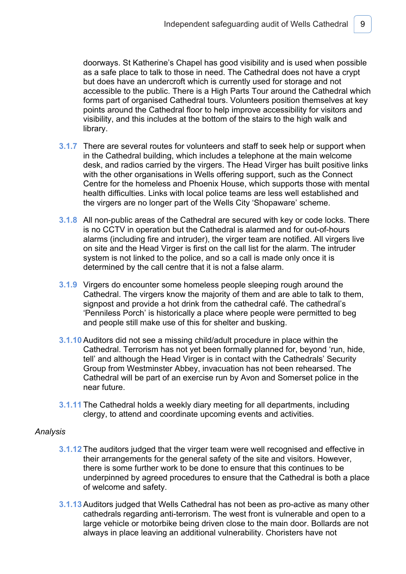doorways. St Katherine's Chapel has good visibility and is used when possible as a safe place to talk to those in need. The Cathedral does not have a crypt but does have an undercroft which is currently used for storage and not accessible to the public. There is a High Parts Tour around the Cathedral which forms part of organised Cathedral tours. Volunteers position themselves at key points around the Cathedral floor to help improve accessibility for visitors and visibility, and this includes at the bottom of the stairs to the high walk and library.

- **3.1.7** There are several routes for volunteers and staff to seek help or support when in the Cathedral building, which includes a telephone at the main welcome desk, and radios carried by the virgers. The Head Virger has built positive links with the other organisations in Wells offering support, such as the Connect Centre for the homeless and Phoenix House, which supports those with mental health difficulties. Links with local police teams are less well established and the virgers are no longer part of the Wells City 'Shopaware' scheme.
- **3.1.8** All non-public areas of the Cathedral are secured with key or code locks. There is no CCTV in operation but the Cathedral is alarmed and for out-of-hours alarms (including fire and intruder), the virger team are notified. All virgers live on site and the Head Virger is first on the call list for the alarm. The intruder system is not linked to the police, and so a call is made only once it is determined by the call centre that it is not a false alarm.
- **3.1.9** Virgers do encounter some homeless people sleeping rough around the Cathedral. The virgers know the majority of them and are able to talk to them, signpost and provide a hot drink from the cathedral café. The cathedral's 'Penniless Porch' is historically a place where people were permitted to beg and people still make use of this for shelter and busking.
- **3.1.10** Auditors did not see a missing child/adult procedure in place within the Cathedral. Terrorism has not yet been formally planned for, beyond 'run, hide, tell' and although the Head Virger is in contact with the Cathedrals' Security Group from Westminster Abbey, invacuation has not been rehearsed. The Cathedral will be part of an exercise run by Avon and Somerset police in the near future.
- **3.1.11** The Cathedral holds a weekly diary meeting for all departments, including clergy, to attend and coordinate upcoming events and activities.

- **3.1.12** The auditors judged that the virger team were well recognised and effective in their arrangements for the general safety of the site and visitors. However, there is some further work to be done to ensure that this continues to be underpinned by agreed procedures to ensure that the Cathedral is both a place of welcome and safety.
- **3.1.13** Auditors judged that Wells Cathedral has not been as pro-active as many other cathedrals regarding anti-terrorism. The west front is vulnerable and open to a large vehicle or motorbike being driven close to the main door. Bollards are not always in place leaving an additional vulnerability. Choristers have not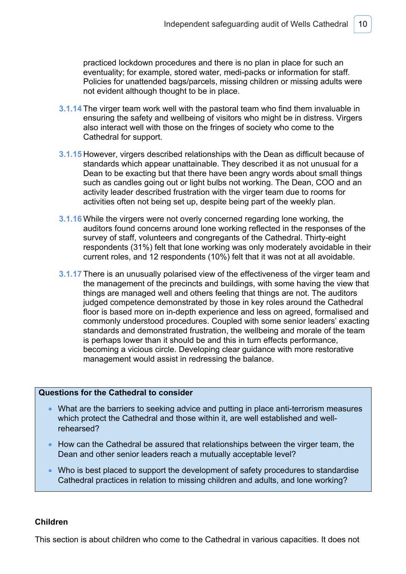practiced lockdown procedures and there is no plan in place for such an eventuality; for example, stored water, medi-packs or information for staff. Policies for unattended bags/parcels, missing children or missing adults were not evident although thought to be in place.

- **3.1.14** The virger team work well with the pastoral team who find them invaluable in ensuring the safety and wellbeing of visitors who might be in distress. Virgers also interact well with those on the fringes of society who come to the Cathedral for support.
- **3.1.15** However, virgers described relationships with the Dean as difficult because of standards which appear unattainable. They described it as not unusual for a Dean to be exacting but that there have been angry words about small things such as candles going out or light bulbs not working. The Dean, COO and an activity leader described frustration with the virger team due to rooms for activities often not being set up, despite being part of the weekly plan.
- **3.1.16** While the virgers were not overly concerned regarding lone working, the auditors found concerns around lone working reflected in the responses of the survey of staff, volunteers and congregants of the Cathedral. Thirty-eight respondents (31%) felt that lone working was only moderately avoidable in their current roles, and 12 respondents (10%) felt that it was not at all avoidable.
- **3.1.17** There is an unusually polarised view of the effectiveness of the virger team and the management of the precincts and buildings, with some having the view that things are managed well and others feeling that things are not. The auditors judged competence demonstrated by those in key roles around the Cathedral floor is based more on in-depth experience and less on agreed, formalised and commonly understood procedures. Coupled with some senior leaders' exacting standards and demonstrated frustration, the wellbeing and morale of the team is perhaps lower than it should be and this in turn effects performance, becoming a vicious circle. Developing clear guidance with more restorative management would assist in redressing the balance.

### **Questions for the Cathedral to consider**

- What are the barriers to seeking advice and putting in place anti-terrorism measures which protect the Cathedral and those within it, are well established and wellrehearsed?
- How can the Cathedral be assured that relationships between the virger team, the Dean and other senior leaders reach a mutually acceptable level?
- Who is best placed to support the development of safety procedures to standardise Cathedral practices in relation to missing children and adults, and lone working?

### **Children**

This section is about children who come to the Cathedral in various capacities. It does not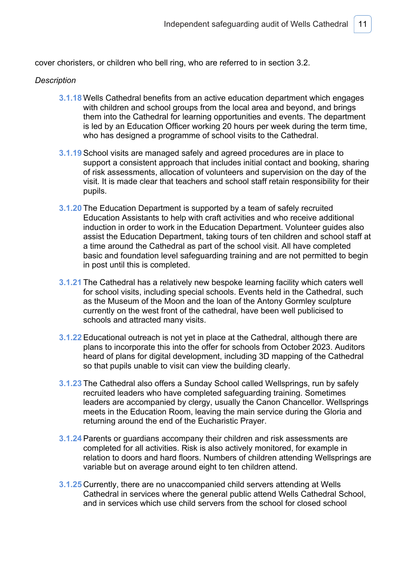cover choristers, or children who bell ring, who are referred to in section 3.2.

### *Description*

- **3.1.18** Wells Cathedral benefits from an active education department which engages with children and school groups from the local area and beyond, and brings them into the Cathedral for learning opportunities and events. The department is led by an Education Officer working 20 hours per week during the term time, who has designed a programme of school visits to the Cathedral.
- **3.1.19** School visits are managed safely and agreed procedures are in place to support a consistent approach that includes initial contact and booking, sharing of risk assessments, allocation of volunteers and supervision on the day of the visit. It is made clear that teachers and school staff retain responsibility for their pupils.
- **3.1.20** The Education Department is supported by a team of safely recruited Education Assistants to help with craft activities and who receive additional induction in order to work in the Education Department. Volunteer guides also assist the Education Department, taking tours of ten children and school staff at a time around the Cathedral as part of the school visit. All have completed basic and foundation level safeguarding training and are not permitted to begin in post until this is completed.
- **3.1.21** The Cathedral has a relatively new bespoke learning facility which caters well for school visits, including special schools. Events held in the Cathedral, such as the Museum of the Moon and the loan of the Antony Gormley sculpture currently on the west front of the cathedral, have been well publicised to schools and attracted many visits.
- **3.1.22** Educational outreach is not yet in place at the Cathedral, although there are plans to incorporate this into the offer for schools from October 2023. Auditors heard of plans for digital development, including 3D mapping of the Cathedral so that pupils unable to visit can view the building clearly.
- **3.1.23** The Cathedral also offers a Sunday School called Wellsprings, run by safely recruited leaders who have completed safeguarding training. Sometimes leaders are accompanied by clergy, usually the Canon Chancellor. Wellsprings meets in the Education Room, leaving the main service during the Gloria and returning around the end of the Eucharistic Prayer.
- **3.1.24** Parents or guardians accompany their children and risk assessments are completed for all activities. Risk is also actively monitored, for example in relation to doors and hard floors. Numbers of children attending Wellsprings are variable but on average around eight to ten children attend.
- **3.1.25** Currently, there are no unaccompanied child servers attending at Wells Cathedral in services where the general public attend Wells Cathedral School, and in services which use child servers from the school for closed school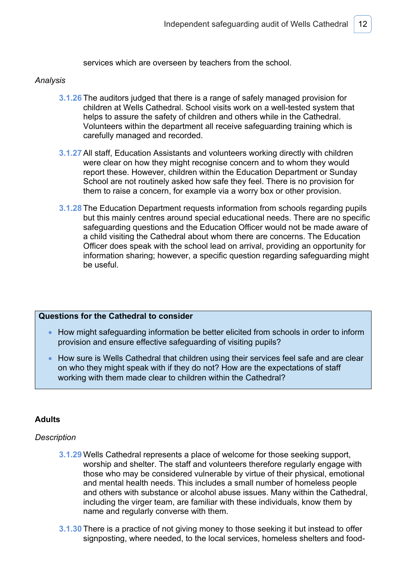services which are overseen by teachers from the school.

### *Analysis*

- **3.1.26** The auditors judged that there is a range of safely managed provision for children at Wells Cathedral. School visits work on a well-tested system that helps to assure the safety of children and others while in the Cathedral. Volunteers within the department all receive safeguarding training which is carefully managed and recorded.
- **3.1.27** All staff, Education Assistants and volunteers working directly with children were clear on how they might recognise concern and to whom they would report these. However, children within the Education Department or Sunday School are not routinely asked how safe they feel. There is no provision for them to raise a concern, for example via a worry box or other provision.
- **3.1.28** The Education Department requests information from schools regarding pupils but this mainly centres around special educational needs. There are no specific safeguarding questions and the Education Officer would not be made aware of a child visiting the Cathedral about whom there are concerns. The Education Officer does speak with the school lead on arrival, providing an opportunity for information sharing; however, a specific question regarding safeguarding might be useful.

### **Questions for the Cathedral to consider**

- How might safeguarding information be better elicited from schools in order to inform provision and ensure effective safeguarding of visiting pupils?
- How sure is Wells Cathedral that children using their services feel safe and are clear on who they might speak with if they do not? How are the expectations of staff working with them made clear to children within the Cathedral?

### **Adults**

### *Description*

- **3.1.29** Wells Cathedral represents a place of welcome for those seeking support, worship and shelter. The staff and volunteers therefore regularly engage with those who may be considered vulnerable by virtue of their physical, emotional and mental health needs. This includes a small number of homeless people and others with substance or alcohol abuse issues. Many within the Cathedral, including the virger team, are familiar with these individuals, know them by name and regularly converse with them.
- **3.1.30** There is a practice of not giving money to those seeking it but instead to offer signposting, where needed, to the local services, homeless shelters and food-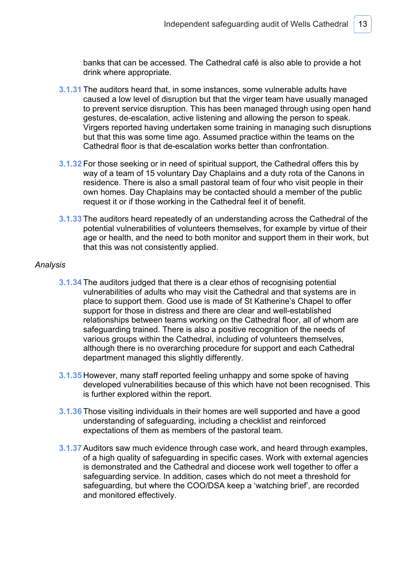banks that can be accessed. The Cathedral café is also able to provide a hot drink where appropriate.

- **3.1.31** The auditors heard that, in some instances, some vulnerable adults have caused a low level of disruption but that the virger team have usually managed to prevent service disruption. This has been managed through using open hand gestures, de-escalation, active listening and allowing the person to speak. Virgers reported having undertaken some training in managing such disruptions but that this was some time ago. Assumed practice within the teams on the Cathedral floor is that de-escalation works better than confrontation.
- **3.1.32** For those seeking or in need of spiritual support, the Cathedral offers this by way of a team of 15 voluntary Day Chaplains and a duty rota of the Canons in residence. There is also a small pastoral team of four who visit people in their own homes. Day Chaplains may be contacted should a member of the public request it or if those working in the Cathedral feel it of benefit.
- **3.1.33** The auditors heard repeatedly of an understanding across the Cathedral of the potential vulnerabilities of volunteers themselves, for example by virtue of their age or health, and the need to both monitor and support them in their work, but that this was not consistently applied.

- **3.1.34** The auditors judged that there is a clear ethos of recognising potential vulnerabilities of adults who may visit the Cathedral and that systems are in place to support them. Good use is made of St Katherine's Chapel to offer support for those in distress and there are clear and well-established relationships between teams working on the Cathedral floor, all of whom are safeguarding trained. There is also a positive recognition of the needs of various groups within the Cathedral, including of volunteers themselves, although there is no overarching procedure for support and each Cathedral department managed this slightly differently.
- **3.1.35** However, many staff reported feeling unhappy and some spoke of having developed vulnerabilities because of this which have not been recognised. This is further explored within the report.
- **3.1.36** Those visiting individuals in their homes are well supported and have a good understanding of safeguarding, including a checklist and reinforced expectations of them as members of the pastoral team.
- **3.1.37** Auditors saw much evidence through case work, and heard through examples, of a high quality of safeguarding in specific cases. Work with external agencies is demonstrated and the Cathedral and diocese work well together to offer a safeguarding service. In addition, cases which do not meet a threshold for safeguarding, but where the COO/DSA keep a 'watching brief', are recorded and monitored effectively.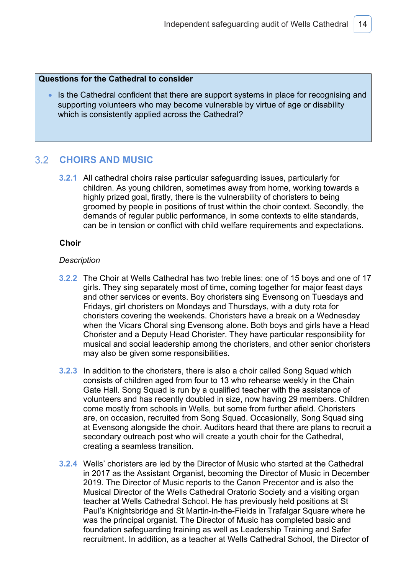### **Questions for the Cathedral to consider**

• Is the Cathedral confident that there are support systems in place for recognising and supporting volunteers who may become vulnerable by virtue of age or disability which is consistently applied across the Cathedral?

#### $3.2$ **CHOIRS AND MUSIC**

**3.2.1** All cathedral choirs raise particular safeguarding issues, particularly for children. As young children, sometimes away from home, working towards a highly prized goal, firstly, there is the vulnerability of choristers to being groomed by people in positions of trust within the choir context. Secondly, the demands of regular public performance, in some contexts to elite standards, can be in tension or conflict with child welfare requirements and expectations.

### **Choir**

### *Description*

- **3.2.2** The Choir at Wells Cathedral has two treble lines: one of 15 boys and one of 17 girls. They sing separately most of time, coming together for major feast days and other services or events. Boy choristers sing Evensong on Tuesdays and Fridays, girl choristers on Mondays and Thursdays, with a duty rota for choristers covering the weekends. Choristers have a break on a Wednesday when the Vicars Choral sing Evensong alone. Both boys and girls have a Head Chorister and a Deputy Head Chorister. They have particular responsibility for musical and social leadership among the choristers, and other senior choristers may also be given some responsibilities.
- **3.2.3** In addition to the choristers, there is also a choir called Song Squad which consists of children aged from four to 13 who rehearse weekly in the Chain Gate Hall. Song Squad is run by a qualified teacher with the assistance of volunteers and has recently doubled in size, now having 29 members. Children come mostly from schools in Wells, but some from further afield. Choristers are, on occasion, recruited from Song Squad. Occasionally, Song Squad sing at Evensong alongside the choir. Auditors heard that there are plans to recruit a secondary outreach post who will create a youth choir for the Cathedral, creating a seamless transition.
- **3.2.4** Wells' choristers are led by the Director of Music who started at the Cathedral in 2017 as the Assistant Organist, becoming the Director of Music in December 2019. The Director of Music reports to the Canon Precentor and is also the Musical Director of the Wells Cathedral Oratorio Society and a visiting organ teacher at Wells Cathedral School. He has previously held positions at St Paul's Knightsbridge and St Martin-in-the-Fields in Trafalgar Square where he was the principal organist. The Director of Music has completed basic and foundation safeguarding training as well as Leadership Training and Safer recruitment. In addition, as a teacher at Wells Cathedral School, the Director of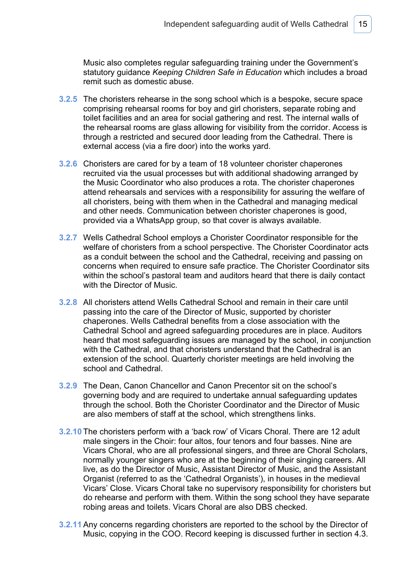Music also completes regular safeguarding training under the Government's statutory guidance *Keeping Children Safe in Education* which includes a broad remit such as domestic abuse.

- **3.2.5** The choristers rehearse in the song school which is a bespoke, secure space comprising rehearsal rooms for boy and girl choristers, separate robing and toilet facilities and an area for social gathering and rest. The internal walls of the rehearsal rooms are glass allowing for visibility from the corridor. Access is through a restricted and secured door leading from the Cathedral. There is external access (via a fire door) into the works yard.
- **3.2.6** Choristers are cared for by a team of 18 volunteer chorister chaperones recruited via the usual processes but with additional shadowing arranged by the Music Coordinator who also produces a rota. The chorister chaperones attend rehearsals and services with a responsibility for assuring the welfare of all choristers, being with them when in the Cathedral and managing medical and other needs. Communication between chorister chaperones is good, provided via a WhatsApp group, so that cover is always available.
- **3.2.7** Wells Cathedral School employs a Chorister Coordinator responsible for the welfare of choristers from a school perspective. The Chorister Coordinator acts as a conduit between the school and the Cathedral, receiving and passing on concerns when required to ensure safe practice. The Chorister Coordinator sits within the school's pastoral team and auditors heard that there is daily contact with the Director of Music.
- **3.2.8** All choristers attend Wells Cathedral School and remain in their care until passing into the care of the Director of Music, supported by chorister chaperones. Wells Cathedral benefits from a close association with the Cathedral School and agreed safeguarding procedures are in place. Auditors heard that most safeguarding issues are managed by the school, in conjunction with the Cathedral, and that choristers understand that the Cathedral is an extension of the school. Quarterly chorister meetings are held involving the school and Cathedral.
- **3.2.9** The Dean, Canon Chancellor and Canon Precentor sit on the school's governing body and are required to undertake annual safeguarding updates through the school. Both the Chorister Coordinator and the Director of Music are also members of staff at the school, which strengthens links.
- **3.2.10** The choristers perform with a 'back row' of Vicars Choral. There are 12 adult male singers in the Choir: four altos, four tenors and four basses. Nine are Vicars Choral, who are all professional singers, and three are Choral Scholars, normally younger singers who are at the beginning of their singing careers. All live, as do the Director of Music, Assistant Director of Music, and the Assistant Organist (referred to as the 'Cathedral Organists'), in houses in the medieval Vicars' Close. Vicars Choral take no supervisory responsibility for choristers but do rehearse and perform with them. Within the song school they have separate robing areas and toilets. Vicars Choral are also DBS checked.
- **3.2.11** Any concerns regarding choristers are reported to the school by the Director of Music, copying in the COO. Record keeping is discussed further in section 4.3.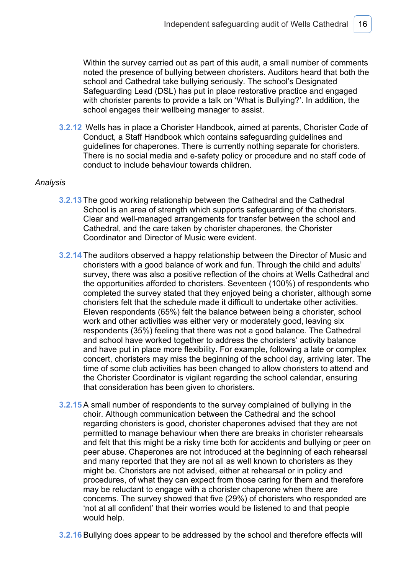Within the survey carried out as part of this audit, a small number of comments noted the presence of bullying between choristers. Auditors heard that both the school and Cathedral take bullying seriously. The school's Designated Safeguarding Lead (DSL) has put in place restorative practice and engaged with chorister parents to provide a talk on 'What is Bullying?'. In addition, the school engages their wellbeing manager to assist.

**3.2.12** Wells has in place a Chorister Handbook, aimed at parents, Chorister Code of Conduct, a Staff Handbook which contains safeguarding guidelines and guidelines for chaperones. There is currently nothing separate for choristers. There is no social media and e-safety policy or procedure and no staff code of conduct to include behaviour towards children.

- **3.2.13** The good working relationship between the Cathedral and the Cathedral School is an area of strength which supports safeguarding of the choristers. Clear and well-managed arrangements for transfer between the school and Cathedral, and the care taken by chorister chaperones, the Chorister Coordinator and Director of Music were evident.
- **3.2.14** The auditors observed a happy relationship between the Director of Music and choristers with a good balance of work and fun. Through the child and adults' survey, there was also a positive reflection of the choirs at Wells Cathedral and the opportunities afforded to choristers. Seventeen (100%) of respondents who completed the survey stated that they enjoyed being a chorister, although some choristers felt that the schedule made it difficult to undertake other activities. Eleven respondents (65%) felt the balance between being a chorister, school work and other activities was either very or moderately good, leaving six respondents (35%) feeling that there was not a good balance. The Cathedral and school have worked together to address the choristers' activity balance and have put in place more flexibility. For example, following a late or complex concert, choristers may miss the beginning of the school day, arriving later. The time of some club activities has been changed to allow choristers to attend and the Chorister Coordinator is vigilant regarding the school calendar, ensuring that consideration has been given to choristers.
- **3.2.15** A small number of respondents to the survey complained of bullying in the choir. Although communication between the Cathedral and the school regarding choristers is good, chorister chaperones advised that they are not permitted to manage behaviour when there are breaks in chorister rehearsals and felt that this might be a risky time both for accidents and bullying or peer on peer abuse. Chaperones are not introduced at the beginning of each rehearsal and many reported that they are not all as well known to choristers as they might be. Choristers are not advised, either at rehearsal or in policy and procedures, of what they can expect from those caring for them and therefore may be reluctant to engage with a chorister chaperone when there are concerns. The survey showed that five (29%) of choristers who responded are 'not at all confident' that their worries would be listened to and that people would help.
- **3.2.16** Bullying does appear to be addressed by the school and therefore effects will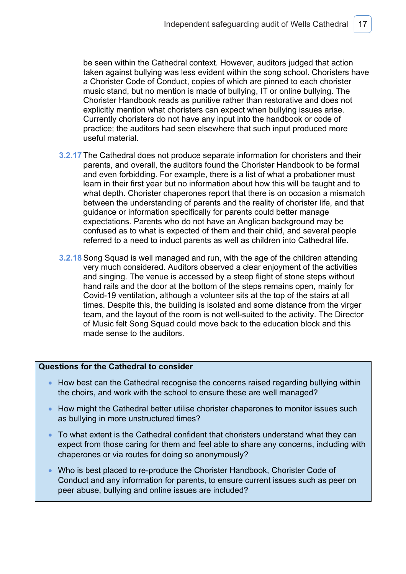be seen within the Cathedral context. However, auditors judged that action taken against bullying was less evident within the song school. Choristers have a Chorister Code of Conduct, copies of which are pinned to each chorister music stand, but no mention is made of bullying, IT or online bullying. The Chorister Handbook reads as punitive rather than restorative and does not explicitly mention what choristers can expect when bullying issues arise. Currently choristers do not have any input into the handbook or code of practice; the auditors had seen elsewhere that such input produced more useful material.

- **3.2.17** The Cathedral does not produce separate information for choristers and their parents, and overall, the auditors found the Chorister Handbook to be formal and even forbidding. For example, there is a list of what a probationer must learn in their first year but no information about how this will be taught and to what depth. Chorister chaperones report that there is on occasion a mismatch between the understanding of parents and the reality of chorister life, and that guidance or information specifically for parents could better manage expectations. Parents who do not have an Anglican background may be confused as to what is expected of them and their child, and several people referred to a need to induct parents as well as children into Cathedral life.
- **3.2.18** Song Squad is well managed and run, with the age of the children attending very much considered. Auditors observed a clear enjoyment of the activities and singing. The venue is accessed by a steep flight of stone steps without hand rails and the door at the bottom of the steps remains open, mainly for Covid-19 ventilation, although a volunteer sits at the top of the stairs at all times. Despite this, the building is isolated and some distance from the virger team, and the layout of the room is not well-suited to the activity. The Director of Music felt Song Squad could move back to the education block and this made sense to the auditors.

### **Questions for the Cathedral to consider**

- How best can the Cathedral recognise the concerns raised regarding bullying within the choirs, and work with the school to ensure these are well managed?
- How might the Cathedral better utilise chorister chaperones to monitor issues such as bullying in more unstructured times?
- To what extent is the Cathedral confident that choristers understand what they can expect from those caring for them and feel able to share any concerns, including with chaperones or via routes for doing so anonymously?
- Who is best placed to re-produce the Chorister Handbook, Chorister Code of Conduct and any information for parents, to ensure current issues such as peer on peer abuse, bullying and online issues are included?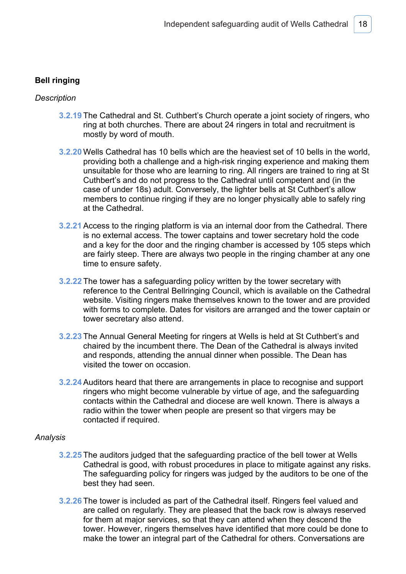### **Bell ringing**

### *Description*

- **3.2.19** The Cathedral and St. Cuthbert's Church operate a joint society of ringers, who ring at both churches. There are about 24 ringers in total and recruitment is mostly by word of mouth.
- **3.2.20** Wells Cathedral has 10 bells which are the heaviest set of 10 bells in the world, providing both a challenge and a high-risk ringing experience and making them unsuitable for those who are learning to ring. All ringers are trained to ring at St Cuthbert's and do not progress to the Cathedral until competent and (in the case of under 18s) adult. Conversely, the lighter bells at St Cuthbert's allow members to continue ringing if they are no longer physically able to safely ring at the Cathedral.
- **3.2.21** Access to the ringing platform is via an internal door from the Cathedral. There is no external access. The tower captains and tower secretary hold the code and a key for the door and the ringing chamber is accessed by 105 steps which are fairly steep. There are always two people in the ringing chamber at any one time to ensure safety.
- **3.2.22** The tower has a safeguarding policy written by the tower secretary with reference to the Central Bellringing Council, which is available on the Cathedral website. Visiting ringers make themselves known to the tower and are provided with forms to complete. Dates for visitors are arranged and the tower captain or tower secretary also attend.
- **3.2.23** The Annual General Meeting for ringers at Wells is held at St Cuthbert's and chaired by the incumbent there. The Dean of the Cathedral is always invited and responds, attending the annual dinner when possible. The Dean has visited the tower on occasion.
- **3.2.24** Auditors heard that there are arrangements in place to recognise and support ringers who might become vulnerable by virtue of age, and the safeguarding contacts within the Cathedral and diocese are well known. There is always a radio within the tower when people are present so that virgers may be contacted if required.

- **3.2.25** The auditors judged that the safeguarding practice of the bell tower at Wells Cathedral is good, with robust procedures in place to mitigate against any risks. The safeguarding policy for ringers was judged by the auditors to be one of the best they had seen.
- **3.2.26** The tower is included as part of the Cathedral itself. Ringers feel valued and are called on regularly. They are pleased that the back row is always reserved for them at major services, so that they can attend when they descend the tower. However, ringers themselves have identified that more could be done to make the tower an integral part of the Cathedral for others. Conversations are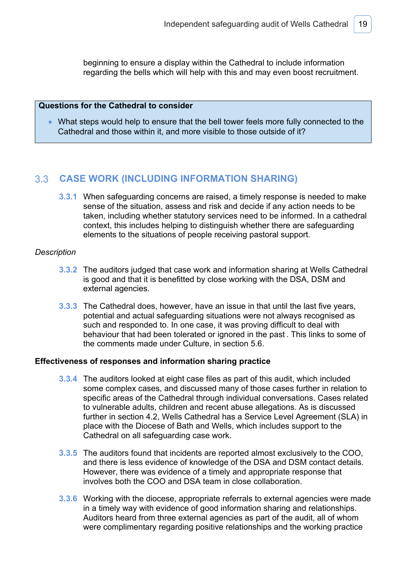beginning to ensure a display within the Cathedral to include information regarding the bells which will help with this and may even boost recruitment.

### **Questions for the Cathedral to consider**

• What steps would help to ensure that the bell tower feels more fully connected to the Cathedral and those within it, and more visible to those outside of it?

### **CASE WORK (INCLUDING INFORMATION SHARING)**

**3.3.1** When safeguarding concerns are raised, a timely response is needed to make sense of the situation, assess and risk and decide if any action needs to be taken, including whether statutory services need to be informed. In a cathedral context, this includes helping to distinguish whether there are safeguarding elements to the situations of people receiving pastoral support.

### *Description*

- **3.3.2** The auditors judged that case work and information sharing at Wells Cathedral is good and that it is benefitted by close working with the DSA, DSM and external agencies.
- **3.3.3** The Cathedral does, however, have an issue in that until the last five years, potential and actual safeguarding situations were not always recognised as such and responded to. In one case, it was proving difficult to deal with behaviour that had been tolerated or ignored in the past . This links to some of the comments made under Culture, in section 5.6.

### **Effectiveness of responses and information sharing practice**

- **3.3.4** The auditors looked at eight case files as part of this audit, which included some complex cases, and discussed many of those cases further in relation to specific areas of the Cathedral through individual conversations. Cases related to vulnerable adults, children and recent abuse allegations. As is discussed further in section 4.2, Wells Cathedral has a Service Level Agreement (SLA) in place with the Diocese of Bath and Wells, which includes support to the Cathedral on all safeguarding case work.
- **3.3.5** The auditors found that incidents are reported almost exclusively to the COO, and there is less evidence of knowledge of the DSA and DSM contact details. However, there was evidence of a timely and appropriate response that involves both the COO and DSA team in close collaboration.
- **3.3.6** Working with the diocese, appropriate referrals to external agencies were made in a timely way with evidence of good information sharing and relationships. Auditors heard from three external agencies as part of the audit, all of whom were complimentary regarding positive relationships and the working practice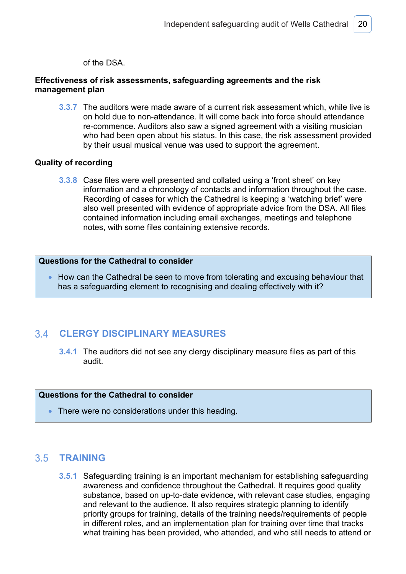of the DSA.

### **Effectiveness of risk assessments, safeguarding agreements and the risk management plan**

**3.3.7** The auditors were made aware of a current risk assessment which, while live is on hold due to non-attendance. It will come back into force should attendance re-commence. Auditors also saw a signed agreement with a visiting musician who had been open about his status. In this case, the risk assessment provided by their usual musical venue was used to support the agreement.

### **Quality of recording**

**3.3.8** Case files were well presented and collated using a 'front sheet' on key information and a chronology of contacts and information throughout the case. Recording of cases for which the Cathedral is keeping a 'watching brief' were also well presented with evidence of appropriate advice from the DSA. All files contained information including email exchanges, meetings and telephone notes, with some files containing extensive records.

### **Questions for the Cathedral to consider**

• How can the Cathedral be seen to move from tolerating and excusing behaviour that has a safeguarding element to recognising and dealing effectively with it?

#### 34 **CLERGY DISCIPLINARY MEASURES**

**3.4.1** The auditors did not see any clergy disciplinary measure files as part of this audit.

### **Questions for the Cathedral to consider**

There were no considerations under this heading.

# **TRAINING**

**3.5.1** Safeguarding training is an important mechanism for establishing safeguarding awareness and confidence throughout the Cathedral. It requires good quality substance, based on up-to-date evidence, with relevant case studies, engaging and relevant to the audience. It also requires strategic planning to identify priority groups for training, details of the training needs/requirements of people in different roles, and an implementation plan for training over time that tracks what training has been provided, who attended, and who still needs to attend or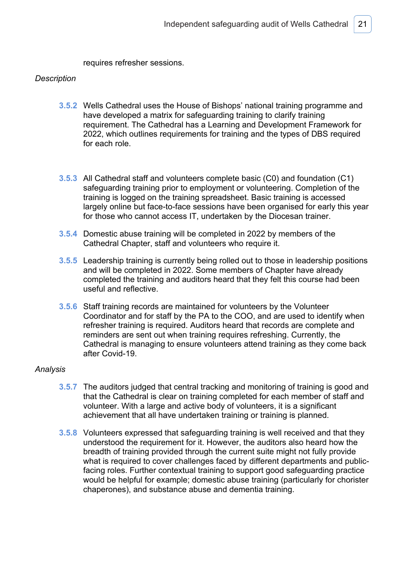requires refresher sessions.

### *Description*

- **3.5.2** Wells Cathedral uses the House of Bishops' national training programme and have developed a matrix for safeguarding training to clarify training requirement. The Cathedral has a Learning and Development Framework for 2022, which outlines requirements for training and the types of DBS required for each role.
- **3.5.3** All Cathedral staff and volunteers complete basic (C0) and foundation (C1) safeguarding training prior to employment or volunteering. Completion of the training is logged on the training spreadsheet. Basic training is accessed largely online but face-to-face sessions have been organised for early this year for those who cannot access IT, undertaken by the Diocesan trainer.
- **3.5.4** Domestic abuse training will be completed in 2022 by members of the Cathedral Chapter, staff and volunteers who require it.
- **3.5.5** Leadership training is currently being rolled out to those in leadership positions and will be completed in 2022. Some members of Chapter have already completed the training and auditors heard that they felt this course had been useful and reflective.
- **3.5.6** Staff training records are maintained for volunteers by the Volunteer Coordinator and for staff by the PA to the COO, and are used to identify when refresher training is required. Auditors heard that records are complete and reminders are sent out when training requires refreshing. Currently, the Cathedral is managing to ensure volunteers attend training as they come back after Covid-19.

- **3.5.7** The auditors judged that central tracking and monitoring of training is good and that the Cathedral is clear on training completed for each member of staff and volunteer. With a large and active body of volunteers, it is a significant achievement that all have undertaken training or training is planned.
- **3.5.8** Volunteers expressed that safeguarding training is well received and that they understood the requirement for it. However, the auditors also heard how the breadth of training provided through the current suite might not fully provide what is required to cover challenges faced by different departments and publicfacing roles. Further contextual training to support good safeguarding practice would be helpful for example; domestic abuse training (particularly for chorister chaperones), and substance abuse and dementia training.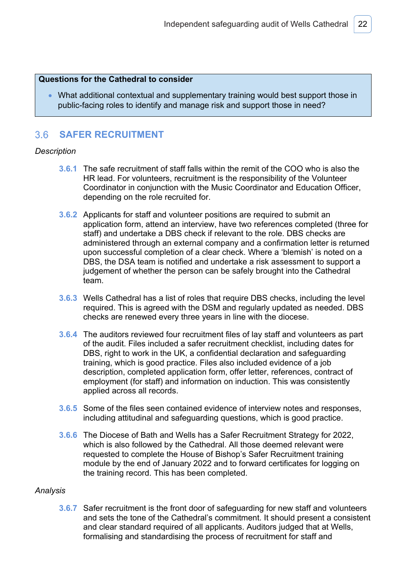### **Questions for the Cathedral to consider**

• What additional contextual and supplementary training would best support those in public-facing roles to identify and manage risk and support those in need?

#### $3.6$ **SAFER RECRUITMENT**

### *Description*

- **3.6.1** The safe recruitment of staff falls within the remit of the COO who is also the HR lead. For volunteers, recruitment is the responsibility of the Volunteer Coordinator in conjunction with the Music Coordinator and Education Officer, depending on the role recruited for.
- **3.6.2** Applicants for staff and volunteer positions are required to submit an application form, attend an interview, have two references completed (three for staff) and undertake a DBS check if relevant to the role. DBS checks are administered through an external company and a confirmation letter is returned upon successful completion of a clear check. Where a 'blemish' is noted on a DBS, the DSA team is notified and undertake a risk assessment to support a judgement of whether the person can be safely brought into the Cathedral team.
- **3.6.3** Wells Cathedral has a list of roles that require DBS checks, including the level required. This is agreed with the DSM and regularly updated as needed. DBS checks are renewed every three years in line with the diocese.
- **3.6.4** The auditors reviewed four recruitment files of lay staff and volunteers as part of the audit. Files included a safer recruitment checklist, including dates for DBS, right to work in the UK, a confidential declaration and safeguarding training, which is good practice. Files also included evidence of a job description, completed application form, offer letter, references, contract of employment (for staff) and information on induction. This was consistently applied across all records.
- **3.6.5** Some of the files seen contained evidence of interview notes and responses, including attitudinal and safeguarding questions, which is good practice.
- **3.6.6** The Diocese of Bath and Wells has a Safer Recruitment Strategy for 2022, which is also followed by the Cathedral. All those deemed relevant were requested to complete the House of Bishop's Safer Recruitment training module by the end of January 2022 and to forward certificates for logging on the training record. This has been completed.

### *Analysis*

**3.6.7** Safer recruitment is the front door of safeguarding for new staff and volunteers and sets the tone of the Cathedral's commitment. It should present a consistent and clear standard required of all applicants. Auditors judged that at Wells, formalising and standardising the process of recruitment for staff and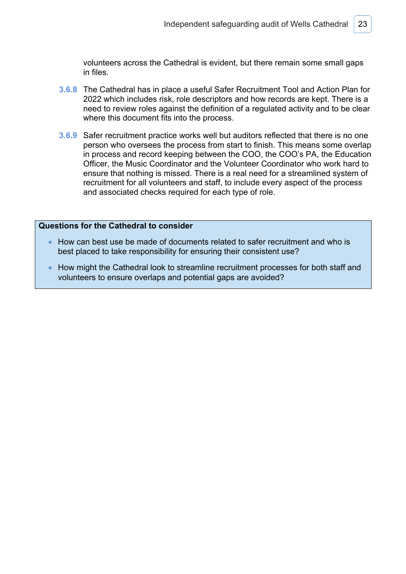volunteers across the Cathedral is evident, but there remain some small gaps in files.

- **3.6.8** The Cathedral has in place a useful Safer Recruitment Tool and Action Plan for 2022 which includes risk, role descriptors and how records are kept. There is a need to review roles against the definition of a regulated activity and to be clear where this document fits into the process.
- **3.6.9** Safer recruitment practice works well but auditors reflected that there is no one person who oversees the process from start to finish. This means some overlap in process and record keeping between the COO, the COO's PA, the Education Officer, the Music Coordinator and the Volunteer Coordinator who work hard to ensure that nothing is missed. There is a real need for a streamlined system of recruitment for all volunteers and staff, to include every aspect of the process and associated checks required for each type of role.

### **Questions for the Cathedral to consider**

- How can best use be made of documents related to safer recruitment and who is best placed to take responsibility for ensuring their consistent use?
- How might the Cathedral look to streamline recruitment processes for both staff and volunteers to ensure overlaps and potential gaps are avoided?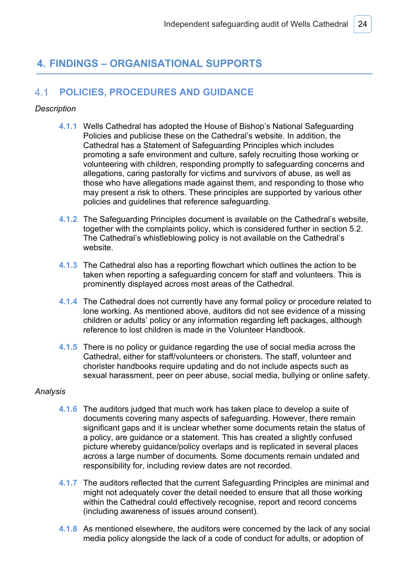# **4. FINDINGS – ORGANISATIONAL SUPPORTS**

#### $4.1$ **POLICIES, PROCEDURES AND GUIDANCE**

### *Description*

- **4.1.1** Wells Cathedral has adopted the House of Bishop's National Safeguarding Policies and publicise these on the Cathedral's website. In addition, the Cathedral has a Statement of Safeguarding Principles which includes promoting a safe environment and culture, safely recruiting those working or volunteering with children, responding promptly to safeguarding concerns and allegations, caring pastorally for victims and survivors of abuse, as well as those who have allegations made against them, and responding to those who may present a risk to others. These principles are supported by various other policies and guidelines that reference safeguarding.
- **4.1.2** The Safeguarding Principles document is available on the Cathedral's website, together with the complaints policy, which is considered further in section 5.2. The Cathedral's whistleblowing policy is not available on the Cathedral's website.
- **4.1.3** The Cathedral also has a reporting flowchart which outlines the action to be taken when reporting a safeguarding concern for staff and volunteers. This is prominently displayed across most areas of the Cathedral.
- **4.1.4** The Cathedral does not currently have any formal policy or procedure related to lone working. As mentioned above, auditors did not see evidence of a missing children or adults' policy or any information regarding left packages, although reference to lost children is made in the Volunteer Handbook.
- **4.1.5** There is no policy or guidance regarding the use of social media across the Cathedral, either for staff/volunteers or choristers. The staff, volunteer and chorister handbooks require updating and do not include aspects such as sexual harassment, peer on peer abuse, social media, bullying or online safety.

- **4.1.6** The auditors judged that much work has taken place to develop a suite of documents covering many aspects of safeguarding. However, there remain significant gaps and it is unclear whether some documents retain the status of a policy, are guidance or a statement. This has created a slightly confused picture whereby guidance/policy overlaps and is replicated in several places across a large number of documents. Some documents remain undated and responsibility for, including review dates are not recorded.
- **4.1.7** The auditors reflected that the current Safeguarding Principles are minimal and might not adequately cover the detail needed to ensure that all those working within the Cathedral could effectively recognise, report and record concerns (including awareness of issues around consent).
- **4.1.8** As mentioned elsewhere, the auditors were concerned by the lack of any social media policy alongside the lack of a code of conduct for adults, or adoption of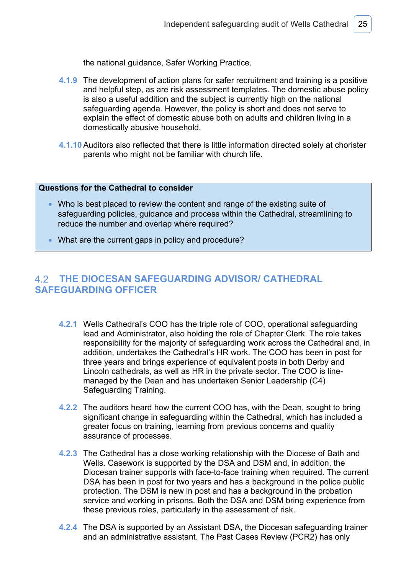the national guidance, Safer Working Practice.

- **4.1.9** The development of action plans for safer recruitment and training is a positive and helpful step, as are risk assessment templates. The domestic abuse policy is also a useful addition and the subject is currently high on the national safeguarding agenda. However, the policy is short and does not serve to explain the effect of domestic abuse both on adults and children living in a domestically abusive household.
- **4.1.10** Auditors also reflected that there is little information directed solely at chorister parents who might not be familiar with church life.

### **Questions for the Cathedral to consider**

- Who is best placed to review the content and range of the existing suite of safeguarding policies, guidance and process within the Cathedral, streamlining to reduce the number and overlap where required?
- What are the current gaps in policy and procedure?

# **THE DIOCESAN SAFEGUARDING ADVISOR/ CATHEDRAL SAFEGUARDING OFFICER**

- **4.2.1** Wells Cathedral's COO has the triple role of COO, operational safeguarding lead and Administrator, also holding the role of Chapter Clerk. The role takes responsibility for the majority of safeguarding work across the Cathedral and, in addition, undertakes the Cathedral's HR work. The COO has been in post for three years and brings experience of equivalent posts in both Derby and Lincoln cathedrals, as well as HR in the private sector. The COO is linemanaged by the Dean and has undertaken Senior Leadership (C4) Safeguarding Training.
- **4.2.2** The auditors heard how the current COO has, with the Dean, sought to bring significant change in safeguarding within the Cathedral, which has included a greater focus on training, learning from previous concerns and quality assurance of processes.
- **4.2.3** The Cathedral has a close working relationship with the Diocese of Bath and Wells. Casework is supported by the DSA and DSM and, in addition, the Diocesan trainer supports with face-to-face training when required. The current DSA has been in post for two years and has a background in the police public protection. The DSM is new in post and has a background in the probation service and working in prisons. Both the DSA and DSM bring experience from these previous roles, particularly in the assessment of risk.
- **4.2.4** The DSA is supported by an Assistant DSA, the Diocesan safeguarding trainer and an administrative assistant. The Past Cases Review (PCR2) has only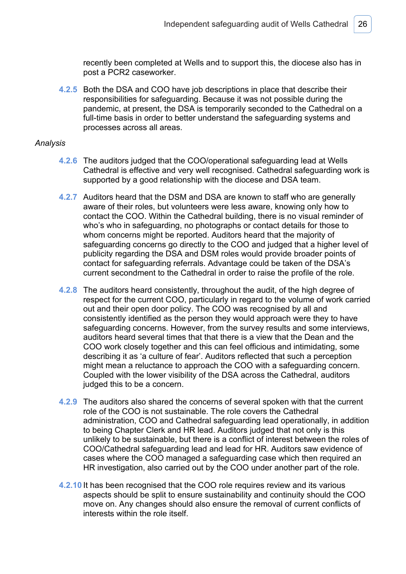recently been completed at Wells and to support this, the diocese also has in post a PCR2 caseworker.

**4.2.5** Both the DSA and COO have job descriptions in place that describe their responsibilities for safeguarding. Because it was not possible during the pandemic, at present, the DSA is temporarily seconded to the Cathedral on a full-time basis in order to better understand the safeguarding systems and processes across all areas.

- **4.2.6** The auditors judged that the COO/operational safeguarding lead at Wells Cathedral is effective and very well recognised. Cathedral safeguarding work is supported by a good relationship with the diocese and DSA team.
- **4.2.7** Auditors heard that the DSM and DSA are known to staff who are generally aware of their roles, but volunteers were less aware, knowing only how to contact the COO. Within the Cathedral building, there is no visual reminder of who's who in safeguarding, no photographs or contact details for those to whom concerns might be reported. Auditors heard that the majority of safeguarding concerns go directly to the COO and judged that a higher level of publicity regarding the DSA and DSM roles would provide broader points of contact for safeguarding referrals. Advantage could be taken of the DSA's current secondment to the Cathedral in order to raise the profile of the role.
- **4.2.8** The auditors heard consistently, throughout the audit, of the high degree of respect for the current COO, particularly in regard to the volume of work carried out and their open door policy. The COO was recognised by all and consistently identified as the person they would approach were they to have safeguarding concerns. However, from the survey results and some interviews, auditors heard several times that that there is a view that the Dean and the COO work closely together and this can feel officious and intimidating, some describing it as 'a culture of fear'. Auditors reflected that such a perception might mean a reluctance to approach the COO with a safeguarding concern. Coupled with the lower visibility of the DSA across the Cathedral, auditors judged this to be a concern.
- **4.2.9** The auditors also shared the concerns of several spoken with that the current role of the COO is not sustainable. The role covers the Cathedral administration, COO and Cathedral safeguarding lead operationally, in addition to being Chapter Clerk and HR lead. Auditors judged that not only is this unlikely to be sustainable, but there is a conflict of interest between the roles of COO/Cathedral safeguarding lead and lead for HR. Auditors saw evidence of cases where the COO managed a safeguarding case which then required an HR investigation, also carried out by the COO under another part of the role.
- **4.2.10** It has been recognised that the COO role requires review and its various aspects should be split to ensure sustainability and continuity should the COO move on. Any changes should also ensure the removal of current conflicts of interests within the role itself.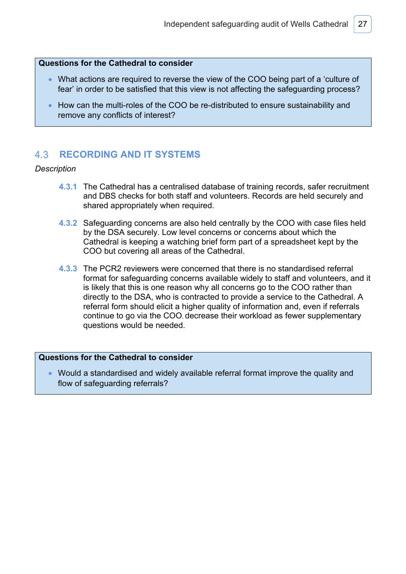### **Questions for the Cathedral to consider**

- What actions are required to reverse the view of the COO being part of a 'culture of fear' in order to be satisfied that this view is not affecting the safeguarding process?
- How can the multi-roles of the COO be re-distributed to ensure sustainability and remove any conflicts of interest?

#### 4 3 **RECORDING AND IT SYSTEMS**

### *Description*

- **4.3.1** The Cathedral has a centralised database of training records, safer recruitment and DBS checks for both staff and volunteers. Records are held securely and shared appropriately when required.
- **4.3.2** Safeguarding concerns are also held centrally by the COO with case files held by the DSA securely. Low level concerns or concerns about which the Cathedral is keeping a watching brief form part of a spreadsheet kept by the COO but covering all areas of the Cathedral.
- **4.3.3** The PCR2 reviewers were concerned that there is no standardised referral format for safeguarding concerns available widely to staff and volunteers, and it is likely that this is one reason why all concerns go to the COO rather than directly to the DSA, who is contracted to provide a service to the Cathedral. A referral form should elicit a higher quality of information and, even if referrals continue to go via the COO, decrease their workload as fewer supplementary questions would be needed.

### **Questions for the Cathedral to consider**

• Would a standardised and widely available referral format improve the quality and flow of safeguarding referrals?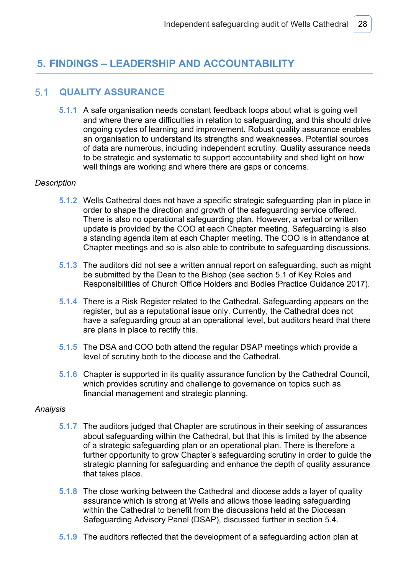# **5. FINDINGS – LEADERSHIP AND ACCOUNTABILITY**

#### $5.1$ **QUALITY ASSURANCE**

**5.1.1** A safe organisation needs constant feedback loops about what is going well and where there are difficulties in relation to safeguarding, and this should drive ongoing cycles of learning and improvement. Robust quality assurance enables an organisation to understand its strengths and weaknesses. Potential sources of data are numerous, including independent scrutiny. Quality assurance needs to be strategic and systematic to support accountability and shed light on how well things are working and where there are gaps or concerns.

### *Description*

- **5.1.2** Wells Cathedral does not have a specific strategic safeguarding plan in place in order to shape the direction and growth of the safeguarding service offered. There is also no operational safeguarding plan. However, a verbal or written update is provided by the COO at each Chapter meeting. Safeguarding is also a standing agenda item at each Chapter meeting. The COO is in attendance at Chapter meetings and so is also able to contribute to safeguarding discussions.
- **5.1.3** The auditors did not see a written annual report on safeguarding, such as might be submitted by the Dean to the Bishop (see section 5.1 of Key Roles and Responsibilities of Church Office Holders and Bodies Practice Guidance 2017).
- **5.1.4** There is a Risk Register related to the Cathedral. Safeguarding appears on the register, but as a reputational issue only. Currently, the Cathedral does not have a safeguarding group at an operational level, but auditors heard that there are plans in place to rectify this.
- **5.1.5** The DSA and COO both attend the regular DSAP meetings which provide a level of scrutiny both to the diocese and the Cathedral.
- **5.1.6** Chapter is supported in its quality assurance function by the Cathedral Council, which provides scrutiny and challenge to governance on topics such as financial management and strategic planning.

- **5.1.7** The auditors judged that Chapter are scrutinous in their seeking of assurances about safeguarding within the Cathedral, but that this is limited by the absence of a strategic safeguarding plan or an operational plan. There is therefore a further opportunity to grow Chapter's safeguarding scrutiny in order to guide the strategic planning for safeguarding and enhance the depth of quality assurance that takes place.
- **5.1.8** The close working between the Cathedral and diocese adds a layer of quality assurance which is strong at Wells and allows those leading safeguarding within the Cathedral to benefit from the discussions held at the Diocesan Safeguarding Advisory Panel (DSAP), discussed further in section 5.4.
- **5.1.9** The auditors reflected that the development of a safeguarding action plan at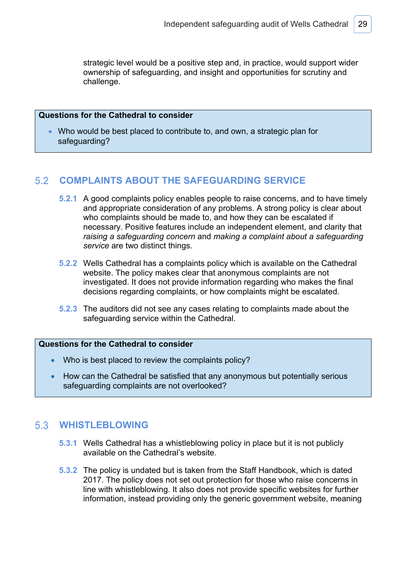strategic level would be a positive step and, in practice, would support wider ownership of safeguarding, and insight and opportunities for scrutiny and challenge.

### **Questions for the Cathedral to consider**

• Who would be best placed to contribute to, and own, a strategic plan for safeguarding?

#### 52 **COMPLAINTS ABOUT THE SAFEGUARDING SERVICE**

- **5.2.1** A good complaints policy enables people to raise concerns, and to have timely and appropriate consideration of any problems. A strong policy is clear about who complaints should be made to, and how they can be escalated if necessary. Positive features include an independent element, and clarity that *raising a safeguarding concern* and *making a complaint about a safeguarding service* are two distinct things.
- **5.2.2** Wells Cathedral has a complaints policy which is available on the Cathedral website. The policy makes clear that anonymous complaints are not investigated. It does not provide information regarding who makes the final decisions regarding complaints, or how complaints might be escalated.
- **5.2.3** The auditors did not see any cases relating to complaints made about the safeguarding service within the Cathedral.

### **Questions for the Cathedral to consider**

- Who is best placed to review the complaints policy?
- How can the Cathedral be satisfied that any anonymous but potentially serious safeguarding complaints are not overlooked?

# **WHISTLEBLOWING**

- **5.3.1** Wells Cathedral has a whistleblowing policy in place but it is not publicly available on the Cathedral's website.
- **5.3.2** The policy is undated but is taken from the Staff Handbook, which is dated 2017. The policy does not set out protection for those who raise concerns in line with whistleblowing. It also does not provide specific websites for further information, instead providing only the generic government website, meaning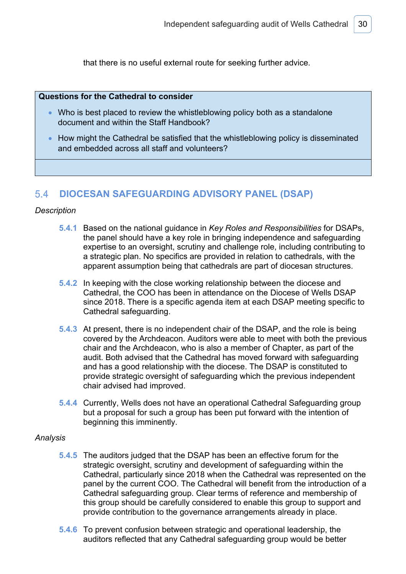that there is no useful external route for seeking further advice.

### **Questions for the Cathedral to consider**

- Who is best placed to review the whistleblowing policy both as a standalone document and within the Staff Handbook?
- How might the Cathedral be satisfied that the whistleblowing policy is disseminated and embedded across all staff and volunteers?

#### $54$ **DIOCESAN SAFEGUARDING ADVISORY PANEL (DSAP)**

### *Description*

- **5.4.1** Based on the national guidance in *Key Roles and Responsibilities* for DSAPs, the panel should have a key role in bringing independence and safeguarding expertise to an oversight, scrutiny and challenge role, including contributing to a strategic plan. No specifics are provided in relation to cathedrals, with the apparent assumption being that cathedrals are part of diocesan structures.
- **5.4.2** In keeping with the close working relationship between the diocese and Cathedral, the COO has been in attendance on the Diocese of Wells DSAP since 2018. There is a specific agenda item at each DSAP meeting specific to Cathedral safeguarding.
- **5.4.3** At present, there is no independent chair of the DSAP, and the role is being covered by the Archdeacon. Auditors were able to meet with both the previous chair and the Archdeacon, who is also a member of Chapter, as part of the audit. Both advised that the Cathedral has moved forward with safeguarding and has a good relationship with the diocese. The DSAP is constituted to provide strategic oversight of safeguarding which the previous independent chair advised had improved.
- **5.4.4** Currently, Wells does not have an operational Cathedral Safeguarding group but a proposal for such a group has been put forward with the intention of beginning this imminently.

- **5.4.5** The auditors judged that the DSAP has been an effective forum for the strategic oversight, scrutiny and development of safeguarding within the Cathedral, particularly since 2018 when the Cathedral was represented on the panel by the current COO. The Cathedral will benefit from the introduction of a Cathedral safeguarding group. Clear terms of reference and membership of this group should be carefully considered to enable this group to support and provide contribution to the governance arrangements already in place.
- **5.4.6** To prevent confusion between strategic and operational leadership, the auditors reflected that any Cathedral safeguarding group would be better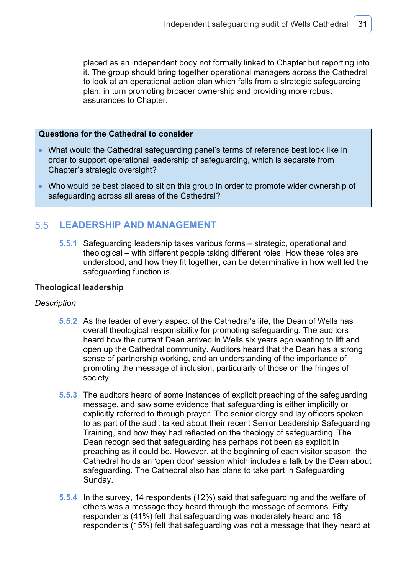placed as an independent body not formally linked to Chapter but reporting into it. The group should bring together operational managers across the Cathedral to look at an operational action plan which falls from a strategic safeguarding plan, in turn promoting broader ownership and providing more robust assurances to Chapter.

### **Questions for the Cathedral to consider**

- What would the Cathedral safeguarding panel's terms of reference best look like in order to support operational leadership of safeguarding, which is separate from Chapter's strategic oversight?
- Who would be best placed to sit on this group in order to promote wider ownership of safeguarding across all areas of the Cathedral?

#### $5.5$ **LEADERSHIP AND MANAGEMENT**

**5.5.1** Safeguarding leadership takes various forms – strategic, operational and theological – with different people taking different roles. How these roles are understood, and how they fit together, can be determinative in how well led the safeguarding function is.

### **Theological leadership**

### *Description*

- **5.5.2** As the leader of every aspect of the Cathedral's life, the Dean of Wells has overall theological responsibility for promoting safeguarding. The auditors heard how the current Dean arrived in Wells six years ago wanting to lift and open up the Cathedral community. Auditors heard that the Dean has a strong sense of partnership working, and an understanding of the importance of promoting the message of inclusion, particularly of those on the fringes of society.
- **5.5.3** The auditors heard of some instances of explicit preaching of the safeguarding message, and saw some evidence that safeguarding is either implicitly or explicitly referred to through prayer. The senior clergy and lay officers spoken to as part of the audit talked about their recent Senior Leadership Safeguarding Training, and how they had reflected on the theology of safeguarding. The Dean recognised that safeguarding has perhaps not been as explicit in preaching as it could be. However, at the beginning of each visitor season, the Cathedral holds an 'open door' session which includes a talk by the Dean about safeguarding. The Cathedral also has plans to take part in Safeguarding Sunday.
- **5.5.4** In the survey, 14 respondents (12%) said that safeguarding and the welfare of others was a message they heard through the message of sermons. Fifty respondents (41%) felt that safeguarding was moderately heard and 18 respondents (15%) felt that safeguarding was not a message that they heard at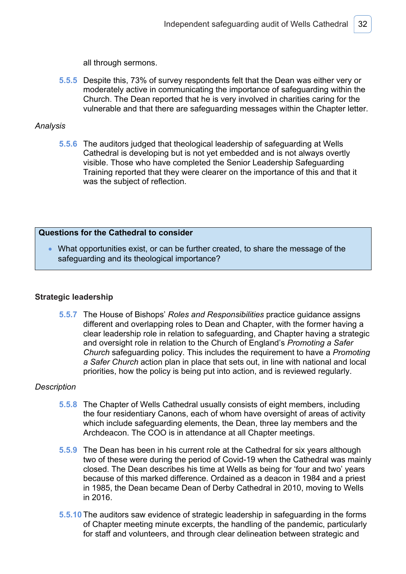all through sermons.

**5.5.5** Despite this, 73% of survey respondents felt that the Dean was either very or moderately active in communicating the importance of safeguarding within the Church. The Dean reported that he is very involved in charities caring for the vulnerable and that there are safeguarding messages within the Chapter letter.

### *Analysis*

**5.5.6** The auditors judged that theological leadership of safeguarding at Wells Cathedral is developing but is not yet embedded and is not always overtly visible. Those who have completed the Senior Leadership Safeguarding Training reported that they were clearer on the importance of this and that it was the subject of reflection.

### **Questions for the Cathedral to consider**

• What opportunities exist, or can be further created, to share the message of the safeguarding and its theological importance?

### **Strategic leadership**

**5.5.7** The House of Bishops' *Roles and Responsibilities* practice guidance assigns different and overlapping roles to Dean and Chapter, with the former having a clear leadership role in relation to safeguarding, and Chapter having a strategic and oversight role in relation to the Church of England's *Promoting a Safer Church* safeguarding policy. This includes the requirement to have a *Promoting a Safer Church* action plan in place that sets out, in line with national and local priorities, how the policy is being put into action, and is reviewed regularly.

### *Description*

- **5.5.8** The Chapter of Wells Cathedral usually consists of eight members, including the four residentiary Canons, each of whom have oversight of areas of activity which include safeguarding elements, the Dean, three lay members and the Archdeacon. The COO is in attendance at all Chapter meetings.
- **5.5.9** The Dean has been in his current role at the Cathedral for six years although two of these were during the period of Covid-19 when the Cathedral was mainly closed. The Dean describes his time at Wells as being for 'four and two' years because of this marked difference. Ordained as a deacon in 1984 and a priest in 1985, the Dean became Dean of Derby Cathedral in 2010, moving to Wells in 2016.
- **5.5.10** The auditors saw evidence of strategic leadership in safeguarding in the forms of Chapter meeting minute excerpts, the handling of the pandemic, particularly for staff and volunteers, and through clear delineation between strategic and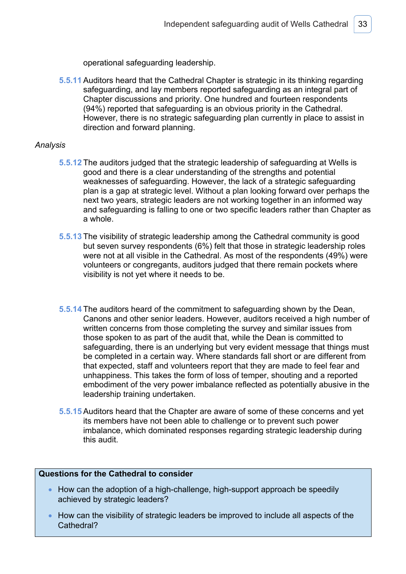operational safeguarding leadership.

**5.5.11** Auditors heard that the Cathedral Chapter is strategic in its thinking regarding safeguarding, and lay members reported safeguarding as an integral part of Chapter discussions and priority. One hundred and fourteen respondents (94%) reported that safeguarding is an obvious priority in the Cathedral. However, there is no strategic safeguarding plan currently in place to assist in direction and forward planning.

### *Analysis*

- **5.5.12** The auditors judged that the strategic leadership of safeguarding at Wells is good and there is a clear understanding of the strengths and potential weaknesses of safeguarding. However, the lack of a strategic safeguarding plan is a gap at strategic level. Without a plan looking forward over perhaps the next two years, strategic leaders are not working together in an informed way and safeguarding is falling to one or two specific leaders rather than Chapter as a whole.
- **5.5.13** The visibility of strategic leadership among the Cathedral community is good but seven survey respondents (6%) felt that those in strategic leadership roles were not at all visible in the Cathedral. As most of the respondents (49%) were volunteers or congregants, auditors judged that there remain pockets where visibility is not yet where it needs to be.
- **5.5.14** The auditors heard of the commitment to safeguarding shown by the Dean, Canons and other senior leaders. However, auditors received a high number of written concerns from those completing the survey and similar issues from those spoken to as part of the audit that, while the Dean is committed to safeguarding, there is an underlying but very evident message that things must be completed in a certain way. Where standards fall short or are different from that expected, staff and volunteers report that they are made to feel fear and unhappiness. This takes the form of loss of temper, shouting and a reported embodiment of the very power imbalance reflected as potentially abusive in the leadership training undertaken.
- **5.5.15** Auditors heard that the Chapter are aware of some of these concerns and yet its members have not been able to challenge or to prevent such power imbalance, which dominated responses regarding strategic leadership during this audit.

### **Questions for the Cathedral to consider**

- How can the adoption of a high-challenge, high-support approach be speedily achieved by strategic leaders?
- How can the visibility of strategic leaders be improved to include all aspects of the Cathedral?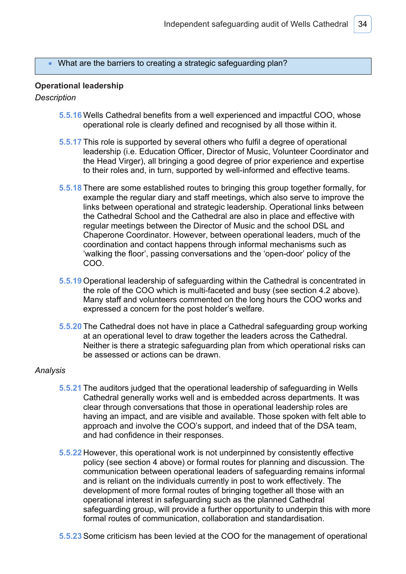### • What are the barriers to creating a strategic safeguarding plan?

### **Operational leadership**

### *Description*

- **5.5.16** Wells Cathedral benefits from a well experienced and impactful COO, whose operational role is clearly defined and recognised by all those within it.
- **5.5.17** This role is supported by several others who fulfil a degree of operational leadership (i.e. Education Officer, Director of Music, Volunteer Coordinator and the Head Virger), all bringing a good degree of prior experience and expertise to their roles and, in turn, supported by well-informed and effective teams.
- **5.5.18** There are some established routes to bringing this group together formally, for example the regular diary and staff meetings, which also serve to improve the links between operational and strategic leadership. Operational links between the Cathedral School and the Cathedral are also in place and effective with regular meetings between the Director of Music and the school DSL and Chaperone Coordinator. However, between operational leaders, much of the coordination and contact happens through informal mechanisms such as 'walking the floor', passing conversations and the 'open-door' policy of the COO.
- **5.5.19** Operational leadership of safeguarding within the Cathedral is concentrated in the role of the COO which is multi-faceted and busy (see section 4.2 above). Many staff and volunteers commented on the long hours the COO works and expressed a concern for the post holder's welfare.
- **5.5.20** The Cathedral does not have in place a Cathedral safeguarding group working at an operational level to draw together the leaders across the Cathedral. Neither is there a strategic safeguarding plan from which operational risks can be assessed or actions can be drawn.

- **5.5.21** The auditors judged that the operational leadership of safeguarding in Wells Cathedral generally works well and is embedded across departments. It was clear through conversations that those in operational leadership roles are having an impact, and are visible and available. Those spoken with felt able to approach and involve the COO's support, and indeed that of the DSA team, and had confidence in their responses.
- **5.5.22** However, this operational work is not underpinned by consistently effective policy (see section 4 above) or formal routes for planning and discussion. The communication between operational leaders of safeguarding remains informal and is reliant on the individuals currently in post to work effectively. The development of more formal routes of bringing together all those with an operational interest in safeguarding such as the planned Cathedral safeguarding group, will provide a further opportunity to underpin this with more formal routes of communication, collaboration and standardisation.
- **5.5.23** Some criticism has been levied at the COO for the management of operational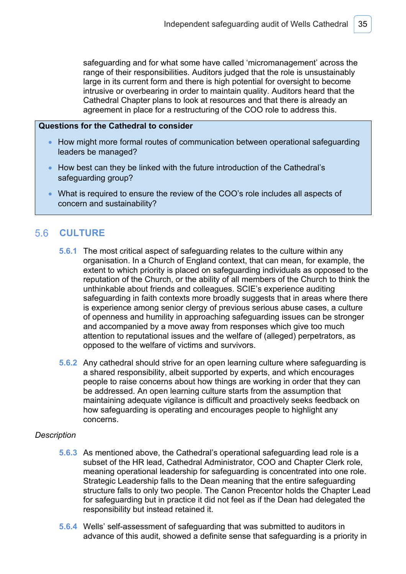safeguarding and for what some have called 'micromanagement' across the range of their responsibilities. Auditors judged that the role is unsustainably large in its current form and there is high potential for oversight to become intrusive or overbearing in order to maintain quality. Auditors heard that the Cathedral Chapter plans to look at resources and that there is already an agreement in place for a restructuring of the COO role to address this.

### **Questions for the Cathedral to consider**

- How might more formal routes of communication between operational safeguarding leaders be managed?
- How best can they be linked with the future introduction of the Cathedral's safeguarding group?
- What is required to ensure the review of the COO's role includes all aspects of concern and sustainability?

#### $5.6$ **CULTURE**

- **5.6.1** The most critical aspect of safeguarding relates to the culture within any organisation. In a Church of England context, that can mean, for example, the extent to which priority is placed on safeguarding individuals as opposed to the reputation of the Church, or the ability of all members of the Church to think the unthinkable about friends and colleagues. SCIE's experience auditing safeguarding in faith contexts more broadly suggests that in areas where there is experience among senior clergy of previous serious abuse cases, a culture of openness and humility in approaching safeguarding issues can be stronger and accompanied by a move away from responses which give too much attention to reputational issues and the welfare of (alleged) perpetrators, as opposed to the welfare of victims and survivors.
- **5.6.2** Any cathedral should strive for an open learning culture where safeguarding is a shared responsibility, albeit supported by experts, and which encourages people to raise concerns about how things are working in order that they can be addressed. An open learning culture starts from the assumption that maintaining adequate vigilance is difficult and proactively seeks feedback on how safeguarding is operating and encourages people to highlight any concerns.

### *Description*

- **5.6.3** As mentioned above, the Cathedral's operational safeguarding lead role is a subset of the HR lead, Cathedral Administrator, COO and Chapter Clerk role, meaning operational leadership for safeguarding is concentrated into one role. Strategic Leadership falls to the Dean meaning that the entire safeguarding structure falls to only two people. The Canon Precentor holds the Chapter Lead for safeguarding but in practice it did not feel as if the Dean had delegated the responsibility but instead retained it.
- **5.6.4** Wells' self-assessment of safeguarding that was submitted to auditors in advance of this audit, showed a definite sense that safeguarding is a priority in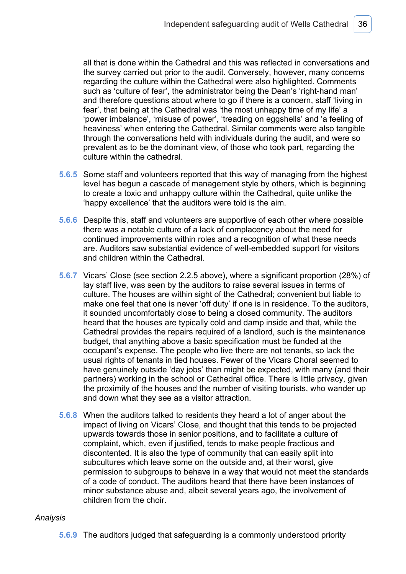all that is done within the Cathedral and this was reflected in conversations and the survey carried out prior to the audit. Conversely, however, many concerns regarding the culture within the Cathedral were also highlighted. Comments such as 'culture of fear', the administrator being the Dean's 'right-hand man' and therefore questions about where to go if there is a concern, staff 'living in fear', that being at the Cathedral was 'the most unhappy time of my life' a 'power imbalance', 'misuse of power', 'treading on eggshells' and 'a feeling of heaviness' when entering the Cathedral. Similar comments were also tangible through the conversations held with individuals during the audit, and were so prevalent as to be the dominant view, of those who took part, regarding the culture within the cathedral.

- **5.6.5** Some staff and volunteers reported that this way of managing from the highest level has begun a cascade of management style by others, which is beginning to create a toxic and unhappy culture within the Cathedral, quite unlike the 'happy excellence' that the auditors were told is the aim.
- **5.6.6** Despite this, staff and volunteers are supportive of each other where possible there was a notable culture of a lack of complacency about the need for continued improvements within roles and a recognition of what these needs are. Auditors saw substantial evidence of well-embedded support for visitors and children within the Cathedral.
- **5.6.7** Vicars' Close (see section 2.2.5 above), where a significant proportion (28%) of lay staff live, was seen by the auditors to raise several issues in terms of culture. The houses are within sight of the Cathedral; convenient but liable to make one feel that one is never 'off duty' if one is in residence. To the auditors, it sounded uncomfortably close to being a closed community. The auditors heard that the houses are typically cold and damp inside and that, while the Cathedral provides the repairs required of a landlord, such is the maintenance budget, that anything above a basic specification must be funded at the occupant's expense. The people who live there are not tenants, so lack the usual rights of tenants in tied houses. Fewer of the Vicars Choral seemed to have genuinely outside 'day jobs' than might be expected, with many (and their partners) working in the school or Cathedral office. There is little privacy, given the proximity of the houses and the number of visiting tourists, who wander up and down what they see as a visitor attraction.
- **5.6.8** When the auditors talked to residents they heard a lot of anger about the impact of living on Vicars' Close, and thought that this tends to be projected upwards towards those in senior positions, and to facilitate a culture of complaint, which, even if justified, tends to make people fractious and discontented. It is also the type of community that can easily split into subcultures which leave some on the outside and, at their worst, give permission to subgroups to behave in a way that would not meet the standards of a code of conduct. The auditors heard that there have been instances of minor substance abuse and, albeit several years ago, the involvement of children from the choir.

### *Analysis*

**5.6.9** The auditors judged that safeguarding is a commonly understood priority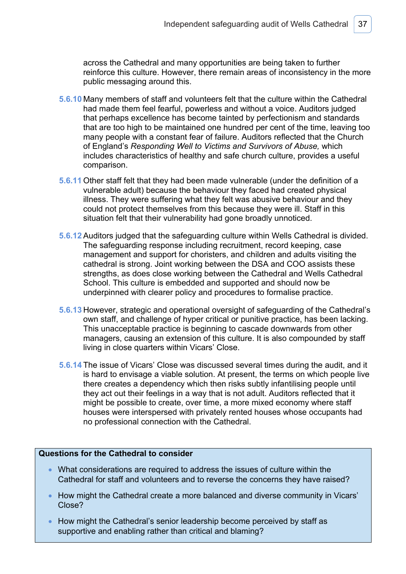across the Cathedral and many opportunities are being taken to further reinforce this culture. However, there remain areas of inconsistency in the more public messaging around this.

- **5.6.10** Many members of staff and volunteers felt that the culture within the Cathedral had made them feel fearful, powerless and without a voice. Auditors judged that perhaps excellence has become tainted by perfectionism and standards that are too high to be maintained one hundred per cent of the time, leaving too many people with a constant fear of failure. Auditors reflected that the Church of England's *Responding Well to Victims and Survivors of Abuse,* which includes characteristics of healthy and safe church culture, provides a useful comparison.
- **5.6.11** Other staff felt that they had been made vulnerable (under the definition of a vulnerable adult) because the behaviour they faced had created physical illness. They were suffering what they felt was abusive behaviour and they could not protect themselves from this because they were ill. Staff in this situation felt that their vulnerability had gone broadly unnoticed.
- **5.6.12** Auditors judged that the safeguarding culture within Wells Cathedral is divided. The safeguarding response including recruitment, record keeping, case management and support for choristers, and children and adults visiting the cathedral is strong. Joint working between the DSA and COO assists these strengths, as does close working between the Cathedral and Wells Cathedral School. This culture is embedded and supported and should now be underpinned with clearer policy and procedures to formalise practice.
- **5.6.13** However, strategic and operational oversight of safeguarding of the Cathedral's own staff, and challenge of hyper critical or punitive practice, has been lacking. This unacceptable practice is beginning to cascade downwards from other managers, causing an extension of this culture. It is also compounded by staff living in close quarters within Vicars' Close.
- **5.6.14** The issue of Vicars' Close was discussed several times during the audit, and it is hard to envisage a viable solution. At present, the terms on which people live there creates a dependency which then risks subtly infantilising people until they act out their feelings in a way that is not adult. Auditors reflected that it might be possible to create, over time, a more mixed economy where staff houses were interspersed with privately rented houses whose occupants had no professional connection with the Cathedral.

### **Questions for the Cathedral to consider**

- What considerations are required to address the issues of culture within the Cathedral for staff and volunteers and to reverse the concerns they have raised?
- How might the Cathedral create a more balanced and diverse community in Vicars' Close?
- How might the Cathedral's senior leadership become perceived by staff as supportive and enabling rather than critical and blaming?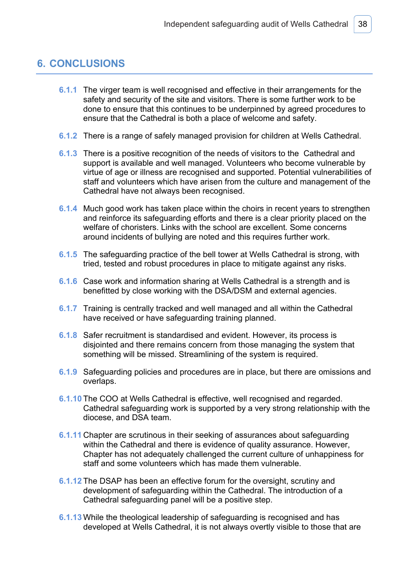# **6. CONCLUSIONS**

- **6.1.1** The virger team is well recognised and effective in their arrangements for the safety and security of the site and visitors. There is some further work to be done to ensure that this continues to be underpinned by agreed procedures to ensure that the Cathedral is both a place of welcome and safety.
- **6.1.2** There is a range of safely managed provision for children at Wells Cathedral.
- **6.1.3** There is a positive recognition of the needs of visitors to the Cathedral and support is available and well managed. Volunteers who become vulnerable by virtue of age or illness are recognised and supported. Potential vulnerabilities of staff and volunteers which have arisen from the culture and management of the Cathedral have not always been recognised.
- **6.1.4** Much good work has taken place within the choirs in recent years to strengthen and reinforce its safeguarding efforts and there is a clear priority placed on the welfare of choristers. Links with the school are excellent. Some concerns around incidents of bullying are noted and this requires further work.
- **6.1.5** The safeguarding practice of the bell tower at Wells Cathedral is strong, with tried, tested and robust procedures in place to mitigate against any risks.
- **6.1.6** Case work and information sharing at Wells Cathedral is a strength and is benefitted by close working with the DSA/DSM and external agencies.
- **6.1.7** Training is centrally tracked and well managed and all within the Cathedral have received or have safeguarding training planned.
- **6.1.8** Safer recruitment is standardised and evident. However, its process is disjointed and there remains concern from those managing the system that something will be missed. Streamlining of the system is required.
- **6.1.9** Safeguarding policies and procedures are in place, but there are omissions and overlaps.
- **6.1.10** The COO at Wells Cathedral is effective, well recognised and regarded. Cathedral safeguarding work is supported by a very strong relationship with the diocese, and DSA team.
- **6.1.11** Chapter are scrutinous in their seeking of assurances about safeguarding within the Cathedral and there is evidence of quality assurance. However, Chapter has not adequately challenged the current culture of unhappiness for staff and some volunteers which has made them vulnerable.
- **6.1.12** The DSAP has been an effective forum for the oversight, scrutiny and development of safeguarding within the Cathedral. The introduction of a Cathedral safeguarding panel will be a positive step.
- **6.1.13** While the theological leadership of safeguarding is recognised and has developed at Wells Cathedral, it is not always overtly visible to those that are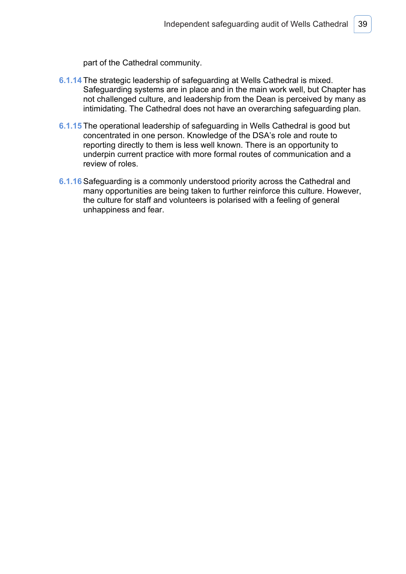part of the Cathedral community.

- **6.1.14** The strategic leadership of safeguarding at Wells Cathedral is mixed. Safeguarding systems are in place and in the main work well, but Chapter has not challenged culture, and leadership from the Dean is perceived by many as intimidating. The Cathedral does not have an overarching safeguarding plan.
- **6.1.15** The operational leadership of safeguarding in Wells Cathedral is good but concentrated in one person. Knowledge of the DSA's role and route to reporting directly to them is less well known. There is an opportunity to underpin current practice with more formal routes of communication and a review of roles.
- **6.1.16** Safeguarding is a commonly understood priority across the Cathedral and many opportunities are being taken to further reinforce this culture. However, the culture for staff and volunteers is polarised with a feeling of general unhappiness and fear.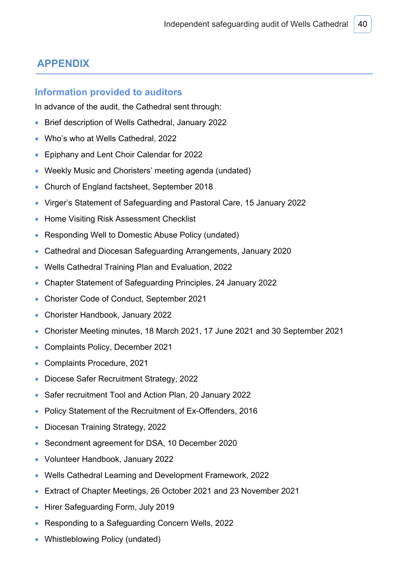# **APPENDIX**

### **Information provided to auditors**

In advance of the audit, the Cathedral sent through:

- Brief description of Wells Cathedral, January 2022
- Who's who at Wells Cathedral, 2022
- Epiphany and Lent Choir Calendar for 2022
- Weekly Music and Choristers' meeting agenda (undated)
- Church of England factsheet, September 2018
- Virger's Statement of Safeguarding and Pastoral Care, 15 January 2022
- Home Visiting Risk Assessment Checklist
- Responding Well to Domestic Abuse Policy (undated)
- Cathedral and Diocesan Safeguarding Arrangements, January 2020
- Wells Cathedral Training Plan and Evaluation, 2022
- Chapter Statement of Safeguarding Principles, 24 January 2022
- Chorister Code of Conduct, September 2021
- Chorister Handbook, January 2022
- Chorister Meeting minutes, 18 March 2021, 17 June 2021 and 30 September 2021
- Complaints Policy, December 2021
- Complaints Procedure, 2021
- Diocese Safer Recruitment Strategy, 2022
- Safer recruitment Tool and Action Plan, 20 January 2022
- Policy Statement of the Recruitment of Ex-Offenders, 2016
- Diocesan Training Strategy, 2022
- Secondment agreement for DSA, 10 December 2020
- Volunteer Handbook, January 2022
- Wells Cathedral Learning and Development Framework, 2022
- Extract of Chapter Meetings, 26 October 2021 and 23 November 2021
- Hirer Safeguarding Form, July 2019
- Responding to a Safeguarding Concern Wells, 2022
- Whistleblowing Policy (undated)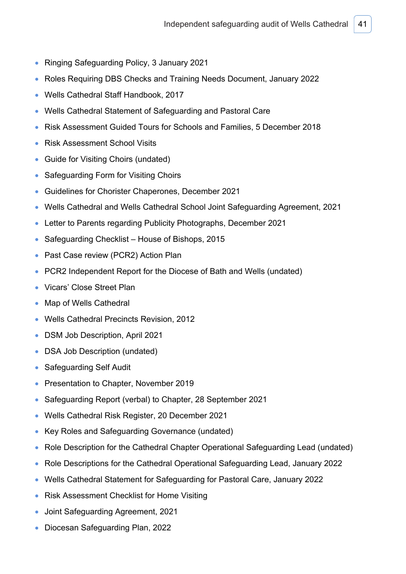- Ringing Safeguarding Policy, 3 January 2021
- Roles Requiring DBS Checks and Training Needs Document, January 2022
- Wells Cathedral Staff Handbook, 2017
- Wells Cathedral Statement of Safeguarding and Pastoral Care
- Risk Assessment Guided Tours for Schools and Families, 5 December 2018
- Risk Assessment School Visits
- Guide for Visiting Choirs (undated)
- Safeguarding Form for Visiting Choirs
- Guidelines for Chorister Chaperones, December 2021
- Wells Cathedral and Wells Cathedral School Joint Safeguarding Agreement, 2021
- Letter to Parents regarding Publicity Photographs, December 2021
- Safeguarding Checklist House of Bishops, 2015
- Past Case review (PCR2) Action Plan
- PCR2 Independent Report for the Diocese of Bath and Wells (undated)
- Vicars' Close Street Plan
- Map of Wells Cathedral
- Wells Cathedral Precincts Revision, 2012
- DSM Job Description, April 2021
- DSA Job Description (undated)
- Safeguarding Self Audit
- Presentation to Chapter, November 2019
- Safeguarding Report (verbal) to Chapter, 28 September 2021
- Wells Cathedral Risk Register, 20 December 2021
- Key Roles and Safeguarding Governance (undated)
- Role Description for the Cathedral Chapter Operational Safeguarding Lead (undated)
- Role Descriptions for the Cathedral Operational Safeguarding Lead, January 2022
- Wells Cathedral Statement for Safeguarding for Pastoral Care, January 2022
- Risk Assessment Checklist for Home Visiting
- Joint Safeguarding Agreement, 2021
- Diocesan Safeguarding Plan, 2022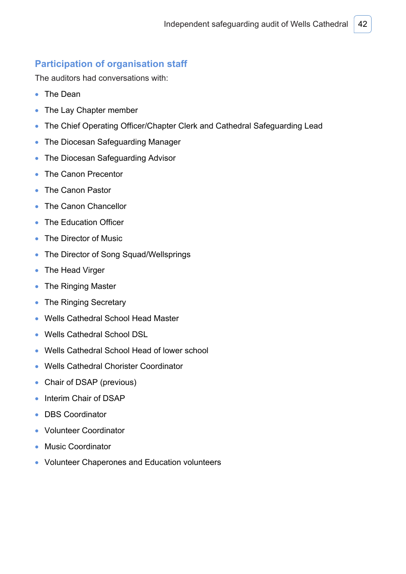# **Participation of organisation staff**

The auditors had conversations with:

- The Dean
- The Lay Chapter member
- The Chief Operating Officer/Chapter Clerk and Cathedral Safeguarding Lead
- The Diocesan Safeguarding Manager
- The Diocesan Safeguarding Advisor
- The Canon Precentor
- The Canon Pastor
- The Canon Chancellor
- The Education Officer
- The Director of Music
- The Director of Song Squad/Wellsprings
- The Head Virger
- The Ringing Master
- The Ringing Secretary
- Wells Cathedral School Head Master
- Wells Cathedral School DSL
- Wells Cathedral School Head of lower school
- Wells Cathedral Chorister Coordinator
- Chair of DSAP (previous)
- Interim Chair of DSAP
- DBS Coordinator
- Volunteer Coordinator
- Music Coordinator
- Volunteer Chaperones and Education volunteers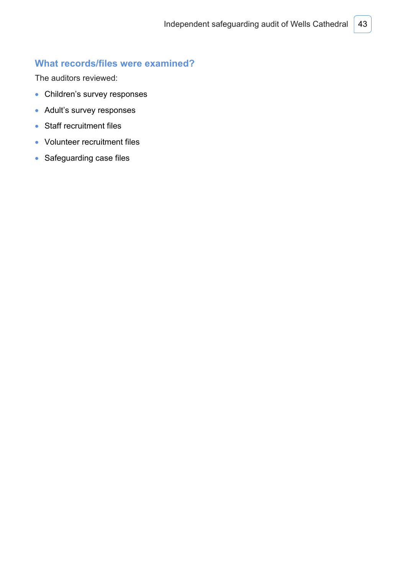# **What records/files were examined?**

The auditors reviewed:

- Children's survey responses
- Adult's survey responses
- Staff recruitment files
- Volunteer recruitment files
- Safeguarding case files